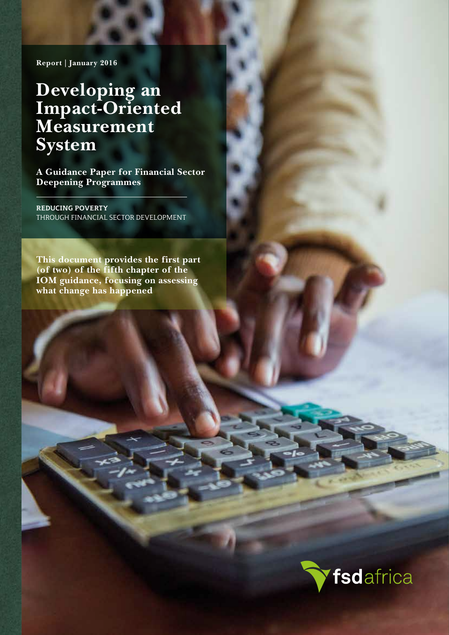**Report | January 2016**

# **Developing an Impact-Oriented Measurement System**

**A Guidance Paper for Financial Sector Deepening Programmes**

**REDUCING POVERTY**  THROUGH FINANCIAL SECTOR DEVELOPMENT

**This document provides the first part (of two) of the fifth chapter of the IOM guidance, focusing on assessing what change has happened**

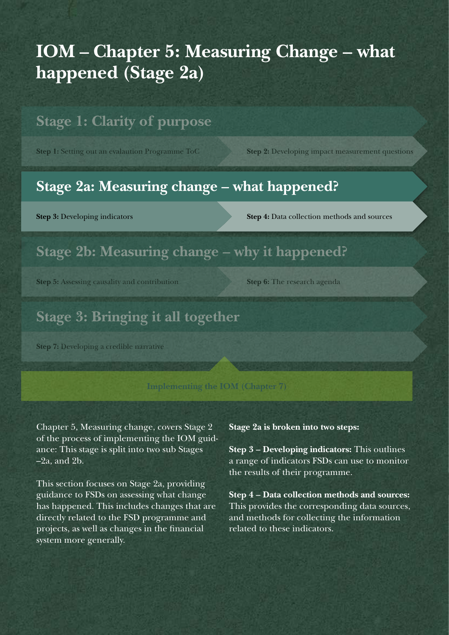# **IOM – Chapter 5: Measuring Change – what happened (Stage 2a)**

## **Stage 1: Clarity of purpose**

**Step 1:** Setting out an evalaution Programme ToC **Step 2:** Developing impact measurement questions

## **Stage 2a: Measuring change – what happened?**

**Step 3:** Developing indicators **Step 4:** Data collection methods and sources

## **Stage 2b: Measuring change – why it happened?**

**Step 5:** Assessing causality and contribution **Step 6:** The research agenda

## **Stage 3: Bringing it all together**

**Step 7:** Developing a credible narrative

#### **Implementing the IOM (Chapter 7)**

Chapter 5, Measuring change, covers Stage 2 of the process of implementing the IOM guidance: This stage is split into two sub Stages –2a, and 2b.

This section focuses on Stage 2a, providing guidance to FSDs on assessing what change has happened. This includes changes that are directly related to the FSD programme and projects, as well as changes in the financial system more generally.

#### **Stage 2a is broken into two steps:**

**Step 3 – Developing indicators:** This outlines a range of indicators FSDs can use to monitor the results of their programme.

**Step 4 – Data collection methods and sources:**  This provides the corresponding data sources, and methods for collecting the information related to these indicators.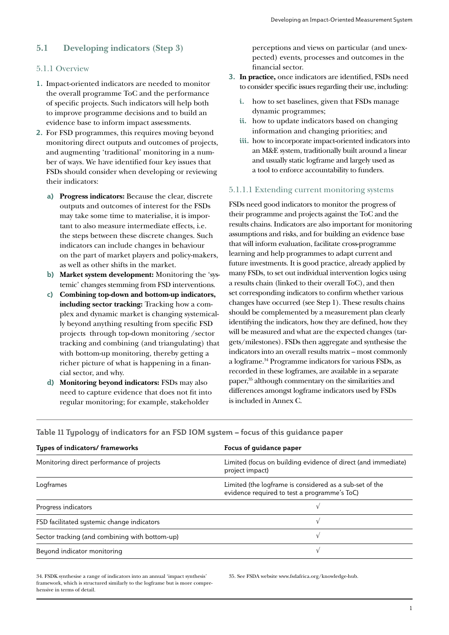## **5.1 Developing indicators (Step 3)**

#### 5.1.1 Overview

- **1.** Impact-oriented indicators are needed to monitor the overall programme ToC and the performance of specific projects. Such indicators will help both to improve programme decisions and to build an evidence base to inform impact assessments.
- **2.** For FSD programmes, this requires moving beyond monitoring direct outputs and outcomes of projects, and augmenting 'traditional' monitoring in a number of ways. We have identified four key issues that FSDs should consider when developing or reviewing their indicators:
	- **a) Progress indicators:** Because the clear, discrete outputs and outcomes of interest for the FSDs may take some time to materialise, it is important to also measure intermediate effects, i.e. the steps between these discrete changes. Such indicators can include changes in behaviour on the part of market players and policy-makers, as well as other shifts in the market.
	- **b) Market system development:** Monitoring the 'systemic' changes stemming from FSD interventions.
	- **c) Combining top-down and bottom-up indicators, including sector tracking:** Tracking how a complex and dynamic market is changing systemically beyond anything resulting from specific FSD projects through top-down monitoring /sector tracking and combining (and triangulating) that with bottom-up monitoring, thereby getting a richer picture of what is happening in a financial sector, and why.
	- **d) Monitoring beyond indicators:** FSDs may also need to capture evidence that does not fit into regular monitoring; for example, stakeholder

perceptions and views on particular (and unexpected) events, processes and outcomes in the financial sector.

- **3. In practice,** once indicators are identified, FSDs need to consider specific issues regarding their use, including:
	- **i.** how to set baselines, given that FSDs manage dynamic programmes;
	- **ii.** how to update indicators based on changing information and changing priorities; and
	- **iii.** how to incorporate impact-oriented indicators into an M&E system, traditionally built around a linear and usually static logframe and largely used as a tool to enforce accountability to funders.

#### 5.1.1.1 Extending current monitoring systems

FSDs need good indicators to monitor the progress of their programme and projects against the ToC and the results chains. Indicators are also important for monitoring assumptions and risks, and for building an evidence base that will inform evaluation, facilitate cross-programme learning and help programmes to adapt current and future investments. It is good practice, already applied by many FSDs, to set out individual intervention logics using a results chain (linked to their overall ToC), and then set corresponding indicators to confirm whether various changes have occurred (see Step 1). These results chains should be complemented by a measurement plan clearly identifying the indicators, how they are defined, how they will be measured and what are the expected changes (targets/milestones). FSDs then aggregate and synthesise the indicators into an overall results matrix – most commonly a logframe.34 Programme indicators for various FSDs, as recorded in these logframes, are available in a separate paper,<sup>35</sup> although commentary on the similarities and differences amongst logframe indicators used by FSDs is included in Annex C.

**Table 11 Typology of indicators for an FSD IOM system – focus of this guidance paper**

| Types of indicators/ frameworks                | Focus of quidance paper                                                                                 |
|------------------------------------------------|---------------------------------------------------------------------------------------------------------|
| Monitoring direct performance of projects      | Limited (focus on building evidence of direct (and immediate)<br>project impact)                        |
| Logframes                                      | Limited (the logframe is considered as a sub-set of the<br>evidence required to test a programme's ToC) |
| Progress indicators                            |                                                                                                         |
| FSD facilitated systemic change indicators     |                                                                                                         |
| Sector tracking (and combining with bottom-up) |                                                                                                         |
| Beyond indicator monitoring                    |                                                                                                         |

34. FSDK synthesise a range of indicators into an annual 'impact synthesis' framework, which is structured similarly to the logframe but is more comprehensive in terms of detail.

35. See FSDA website www.fsdafrica.org/knowledge-hub.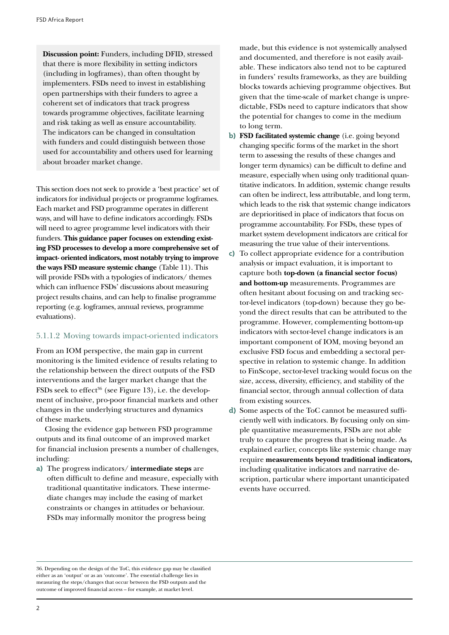**Discussion point:** Funders, including DFID, stressed that there is more flexibility in setting indictors (including in logframes), than often thought by implementers. FSDs need to invest in establishing open partnerships with their funders to agree a coherent set of indicators that track progress towards programme objectives, facilitate learning and risk taking as well as ensure accountability. The indicators can be changed in consultation with funders and could distinguish between those used for accountability and others used for learning about broader market change.

This section does not seek to provide a 'best practice' set of indicators for individual projects or programme logframes. Each market and FSD programme operates in different ways, and will have to define indicators accordingly. FSDs will need to agree programme level indicators with their funders. **This guidance paper focuses on extending existing FSD processes to develop a more comprehensive set of impact- oriented indicators, most notably trying to improve the ways FSD measure systemic change** (Table 11). This will provide FSDs with a typologies of indicators/ themes which can influence FSDs' discussions about measuring project results chains, and can help to finalise programme reporting (e.g. logframes, annual reviews, programme evaluations).

### 5.1.1.2 Moving towards impact-oriented indicators

From an IOM perspective, the main gap in current monitoring is the limited evidence of results relating to the relationship between the direct outputs of the FSD interventions and the larger market change that the FSDs seek to effect<sup>36</sup> (see Figure 13), i.e. the development of inclusive, pro-poor financial markets and other changes in the underlying structures and dynamics of these markets.

Closing the evidence gap between FSD programme outputs and its final outcome of an improved market for financial inclusion presents a number of challenges, including:

**a)** The progress indicators/ **intermediate steps** are often difficult to define and measure, especially with traditional quantitative indicators. These intermediate changes may include the easing of market constraints or changes in attitudes or behaviour. FSDs may informally monitor the progress being

made, but this evidence is not systemically analysed and documented, and therefore is not easily available. These indicators also tend not to be captured in funders' results frameworks, as they are building blocks towards achieving programme objectives. But given that the time-scale of market change is unpredictable, FSDs need to capture indicators that show the potential for changes to come in the medium to long term.

- **b) FSD facilitated systemic change** (i.e. going beyond changing specific forms of the market in the short term to assessing the results of these changes and longer term dynamics) can be difficult to define and measure, especially when using only traditional quantitative indicators. In addition, systemic change results can often be indirect, less attributable, and long term, which leads to the risk that systemic change indicators are deprioritised in place of indicators that focus on programme accountability. For FSDs, these types of market system development indicators are critical for measuring the true value of their interventions.
- **c)** To collect appropriate evidence for a contribution analysis or impact evaluation, it is important to capture both **top-down (a financial sector focus) and bottom-up** measurements. Programmes are often hesitant about focusing on and tracking sector-level indicators (top-down) because they go beyond the direct results that can be attributed to the programme. However, complementing bottom-up indicators with sector-level change indicators is an important component of IOM, moving beyond an exclusive FSD focus and embedding a sectoral perspective in relation to systemic change. In addition to FinScope, sector-level tracking would focus on the size, access, diversity, efficiency, and stability of the financial sector, through annual collection of data from existing sources.
- **d)** Some aspects of the ToC cannot be measured sufficiently well with indicators. By focusing only on simple quantitative measurements, FSDs are not able truly to capture the progress that is being made. As explained earlier, concepts like systemic change may require **measurements beyond traditional indicators,**  including qualitative indicators and narrative description, particular where important unanticipated events have occurred.

<sup>36.</sup> Depending on the design of the ToC, this evidence gap may be classified either as an 'output' or as an 'outcome'. The essential challenge lies in measuring the steps/changes that occur between the FSD outputs and the outcome of improved financial access – for example, at market level.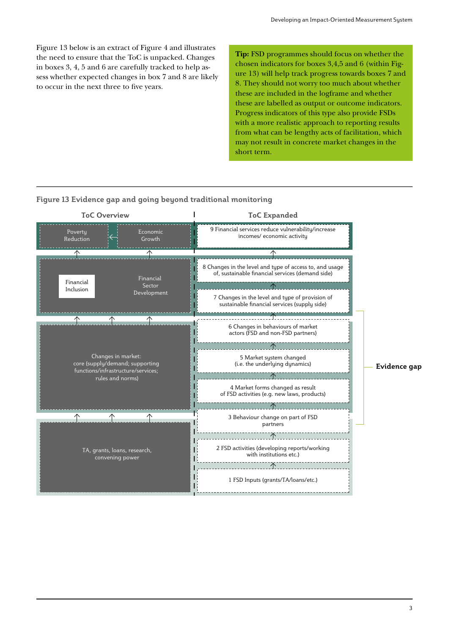Figure 13 below is an extract of Figure 4 and illustrates the need to ensure that the ToC is unpacked. Changes in boxes 3, 4, 5 and 6 are carefully tracked to help assess whether expected changes in box 7 and 8 are likely to occur in the next three to five years.

**Tip:** FSD programmes should focus on whether the chosen indicators for boxes 3,4,5 and 6 (within Figure 13) will help track progress towards boxes 7 and 8. They should not worry too much about whether these are included in the logframe and whether these are labelled as output or outcome indicators. Progress indicators of this type also provide FSDs with a more realistic approach to reporting results from what can be lengthy acts of facilitation, which may not result in concrete market changes in the short term.

**Figure 13 Evidence gap and going beyond traditional monitoring**

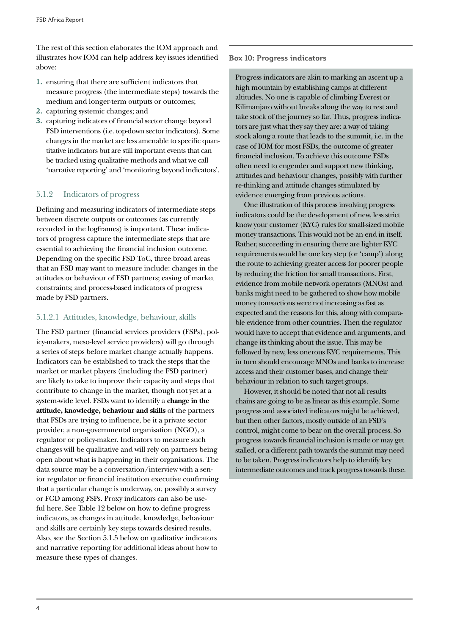The rest of this section elaborates the IOM approach and illustrates how IOM can help address key issues identified above:

- **1.** ensuring that there are sufficient indicators that measure progress (the intermediate steps) towards the medium and longer-term outputs or outcomes;
- **2.** capturing systemic changes; and
- **3.** capturing indicators of financial sector change beyond FSD interventions (i.e. top-down sector indicators). Some changes in the market are less amenable to specific quantitative indicators but are still important events that can be tracked using qualitative methods and what we call 'narrative reporting' and 'monitoring beyond indicators'.

### 5.1.2 Indicators of progress

Defining and measuring indicators of intermediate steps between discrete outputs or outcomes (as currently recorded in the logframes) is important. These indicators of progress capture the intermediate steps that are essential to achieving the financial inclusion outcome. Depending on the specific FSD ToC, three broad areas that an FSD may want to measure include: changes in the attitudes or behaviour of FSD partners; easing of market constraints; and process-based indicators of progress made by FSD partners.

### 5.1.2.1 Attitudes, knowledge, behaviour, skills

The FSD partner (financial services providers (FSPs), policy-makers, meso-level service providers) will go through a series of steps before market change actually happens. Indicators can be established to track the steps that the market or market players (including the FSD partner) are likely to take to improve their capacity and steps that contribute to change in the market, though not yet at a system-wide level. FSDs want to identify a **change in the attitude, knowledge, behaviour and skills** of the partners that FSDs are trying to influence, be it a private sector provider, a non-governmental organisation (NGO), a regulator or policy-maker. Indicators to measure such changes will be qualitative and will rely on partners being open about what is happening in their organisations. The data source may be a conversation/interview with a senior regulator or financial institution executive confirming that a particular change is underway, or, possibly a survey or FGD among FSPs. Proxy indicators can also be useful here. See Table 12 below on how to define progress indicators, as changes in attitude, knowledge, behaviour and skills are certainly key steps towards desired results. Also, see the Section 5.1.5 below on qualitative indicators and narrative reporting for additional ideas about how to measure these types of changes.

#### **Box 10: Progress indicators**

Progress indicators are akin to marking an ascent up a high mountain by establishing camps at different altitudes. No one is capable of climbing Everest or Kilimanjaro without breaks along the way to rest and take stock of the journey so far. Thus, progress indicators are just what they say they are: a way of taking stock along a route that leads to the summit, i.e. in the case of IOM for most FSDs, the outcome of greater financial inclusion. To achieve this outcome FSDs often need to engender and support new thinking, attitudes and behaviour changes, possibly with further re-thinking and attitude changes stimulated by evidence emerging from previous actions.

One illustration of this process involving progress indicators could be the development of new, less strict know your customer (KYC) rules for small-sized mobile money transactions. This would not be an end in itself. Rather, succeeding in ensuring there are lighter KYC requirements would be one key step (or 'camp') along the route to achieving greater access for poorer people by reducing the friction for small transactions. First, evidence from mobile network operators (MNOs) and banks might need to be gathered to show how mobile money transactions were not increasing as fast as expected and the reasons for this, along with comparable evidence from other countries. Then the regulator would have to accept that evidence and arguments, and change its thinking about the issue. This may be followed by new, less onerous KYC requirements. This in turn should encourage MNOs and banks to increase access and their customer bases, and change their behaviour in relation to such target groups.

However, it should be noted that not all results chains are going to be as linear as this example. Some progress and associated indicators might be achieved, but then other factors, mostly outside of an FSD's control, might come to bear on the overall process. So progress towards financial inclusion is made or may get stalled, or a different path towards the summit may need to be taken. Progress indicators help to identify key intermediate outcomes and track progress towards these.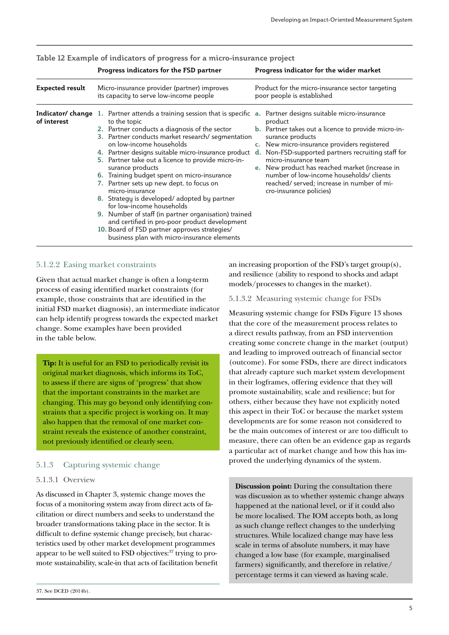|                                 | Progress indicators for the FSD partner                                                                                                                                                                                                                                                                                                                                                                                                                                                                                                                                                                                                                                                                                                      | Progress indicator for the wider market                                                                                                                                                                                                                                                                                                                                                                                                          |  |  |
|---------------------------------|----------------------------------------------------------------------------------------------------------------------------------------------------------------------------------------------------------------------------------------------------------------------------------------------------------------------------------------------------------------------------------------------------------------------------------------------------------------------------------------------------------------------------------------------------------------------------------------------------------------------------------------------------------------------------------------------------------------------------------------------|--------------------------------------------------------------------------------------------------------------------------------------------------------------------------------------------------------------------------------------------------------------------------------------------------------------------------------------------------------------------------------------------------------------------------------------------------|--|--|
| Expected result                 | Micro-insurance provider (partner) improves<br>its capacity to serve low-income people                                                                                                                                                                                                                                                                                                                                                                                                                                                                                                                                                                                                                                                       | Product for the micro-insurance sector targeting<br>poor people is established                                                                                                                                                                                                                                                                                                                                                                   |  |  |
| Indicator/change<br>of interest | 1. Partner attends a training session that is specific<br>to the topic<br>2. Partner conducts a diagnosis of the sector<br>3. Partner conducts market research/segmentation<br>on low-income households<br>4. Partner designs suitable micro-insurance product<br>5. Partner take out a licence to provide micro-in-<br>surance products<br>6. Training budget spent on micro-insurance<br>7. Partner sets up new dept. to focus on<br>micro-insurance<br>8. Strategy is developed/ adopted by partner<br>for low-income households<br>9. Number of staff (in partner organisation) trained<br>and certified in pro-poor product development<br>10. Board of FSD partner approves strategies/<br>business plan with micro-insurance elements | Partner designs suitable micro-insurance<br>a.<br>product<br><b>b.</b> Partner takes out a licence to provide micro-in-<br>surance products<br>c. New micro-insurance providers registered<br>Non-FSD-supported partners recruiting staff for<br>d.<br>micro-insurance team<br>e. New product has reached market (increase in<br>number of low-income households/clients<br>reached/served; increase in number of mi-<br>cro-insurance policies) |  |  |

#### **Table 12 Example of indicators of progress for a micro-insurance project**

#### 5.1.2.2 Easing market constraints

Given that actual market change is often a long-term process of easing identified market constraints (for example, those constraints that are identified in the initial FSD market diagnosis), an intermediate indicator can help identify progress towards the expected market change. Some examples have been provided in the table below.

**Tip:** It is useful for an FSD to periodically revisit its original market diagnosis, which informs its ToC, to assess if there are signs of 'progress' that show that the important constraints in the market are changing. This may go beyond only identifying constraints that a specific project is working on. It may also happen that the removal of one market constraint reveals the existence of another constraint, not previously identified or clearly seen.

### 5.1.3 Capturing systemic change

#### 5.1.3.1 Overview

As discussed in Chapter 3, systemic change moves the focus of a monitoring system away from direct acts of facilitation or direct numbers and seeks to understand the broader transformations taking place in the sector. It is difficult to define systemic change precisely, but characteristics used by other market development programmes appear to be well suited to FSD objectives:<sup>37</sup> trying to promote sustainability, scale-in that acts of facilitation benefit an increasing proportion of the FSD's target group(s), and resilience (ability to respond to shocks and adapt models/processes to changes in the market).

#### 5.1.3.2 Measuring systemic change for FSDs

Measuring systemic change for FSDs Figure 13 shows that the core of the measurement process relates to a direct results pathway, from an FSD intervention creating some concrete change in the market (output) and leading to improved outreach of financial sector (outcome). For some FSDs, there are direct indicators that already capture such market system development in their logframes, offering evidence that they will promote sustainability, scale and resilience; but for others, either because they have not explicitly noted this aspect in their ToC or because the market system developments are for some reason not considered to be the main outcomes of interest or are too difficult to measure, there can often be an evidence gap as regards a particular act of market change and how this has improved the underlying dynamics of the system.

**Discussion point:** During the consultation there was discussion as to whether systemic change always happened at the national level, or if it could also be more localised. The IOM accepts both, as long as such change reflect changes to the underlying structures. While localized change may have less scale in terms of absolute numbers, it may have changed a low base (for example, marginalised farmers) significantly, and therefore in relative/ percentage terms it can viewed as having scale.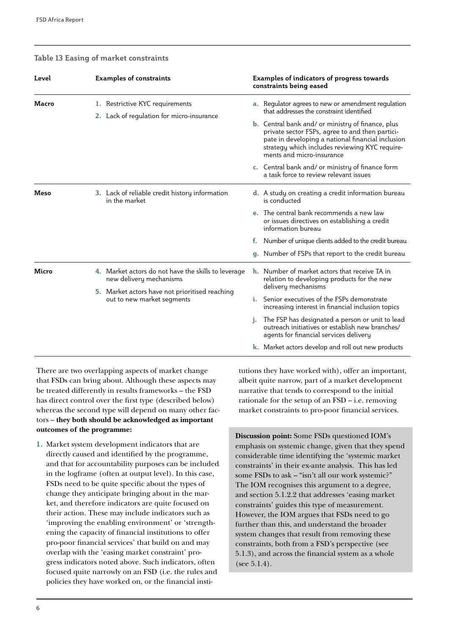#### **Table 13 Easing of market constraints**

| Level |               | <b>Examples of constraints</b>                                                 |    | Examples of indicators of progress towards<br>constraints being eased                                                                                                                                                                    |
|-------|---------------|--------------------------------------------------------------------------------|----|------------------------------------------------------------------------------------------------------------------------------------------------------------------------------------------------------------------------------------------|
| Macro |               | 1. Restrictive KYC requirements<br>2. Lack of regulation for micro-insurance   |    | <b>a.</b> Regulator agrees to new or amendment regulation<br>that addresses the constraint identified                                                                                                                                    |
|       |               |                                                                                |    | b. Central bank and/ or ministry of finance, plus<br>private sector FSPs, agree to and then partici-<br>pate in developing a national financial inclusion<br>strategy which includes reviewing KYC require-<br>ments and micro-insurance |
|       |               |                                                                                |    | c. Central bank and/ or ministry of finance form<br>a task force to review relevant issues                                                                                                                                               |
| Meso  | in the market | 3. Lack of reliable credit history information                                 |    | d. A study on creating a credit information bureau<br>is conducted                                                                                                                                                                       |
|       |               |                                                                                |    | e. The central bank recommends a new law<br>or issues directives on establishing a credit<br>information bureau                                                                                                                          |
|       |               |                                                                                | f. | Number of unique clients added to the credit bureau                                                                                                                                                                                      |
|       |               |                                                                                |    | g. Number of FSPs that report to the credit bureau                                                                                                                                                                                       |
| Micro |               | 4. Market actors do not have the skills to leverage<br>new delivery mechanisms |    | h. Number of market actors that receive TA in<br>relation to developing products for the new                                                                                                                                             |
|       |               | 5. Market actors have not prioritised reaching                                 |    | delivery mechanisms                                                                                                                                                                                                                      |
|       |               | out to new market segments                                                     |    | i. Senior executives of the FSPs demonstrate<br>increasing interest in financial inclusion topics                                                                                                                                        |
|       |               |                                                                                | j. | The FSP has designated a person or unit to lead<br>outreach initiatives or establish new branches/<br>agents for financial services delivery                                                                                             |
|       |               |                                                                                |    | k. Market actors develop and roll out new products                                                                                                                                                                                       |

There are two overlapping aspects of market change that FSDs can bring about. Although these aspects may be treated differently in results frameworks – the FSD has direct control over the first type (described below) whereas the second type will depend on many other factors – **they both should be acknowledged as important outcomes of the programme:** 

**1.** Market system development indicators that are directly caused and identified by the programme, and that for accountability purposes can be included in the logframe (often at output level). In this case, FSDs need to be quite specific about the types of change they anticipate bringing about in the market, and therefore indicators are quite focused on their action. These may include indicators such as 'improving the enabling environment' or 'strengthening the capacity of financial institutions to offer pro-poor financial services' that build on and may overlap with the 'easing market constraint' progress indicators noted above. Such indicators, often focused quite narrowly on an FSD (i.e. the rules and policies they have worked on, or the financial insti-

tutions they have worked with), offer an important, albeit quite narrow, part of a market development narrative that tends to correspond to the initial rationale for the setup of an FSD – i.e. removing market constraints to pro-poor financial services.

**Discussion point:** Some FSDs questioned IOM's emphasis on systemic change, given that they spend considerable time identifying the 'systemic market constraints' in their ex-ante analysis. This has led some FSDs to ask – "isn't all our work systemic?" The IOM recognises this argument to a degree, and section 5.1.2.2 that addresses 'easing market constraints' guides this type of measurement. However, the IOM argues that FSDs need to go further than this, and understand the broader system changes that result from removing these constraints, both from a FSD's perspective (see 5.1.3), and across the financial system as a whole (see 5.1.4).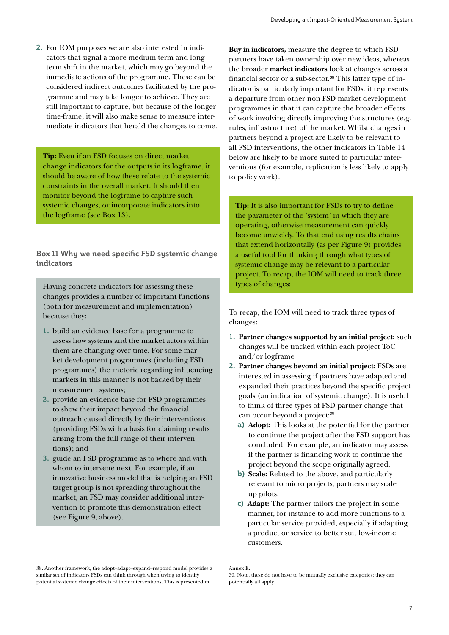**2.** For IOM purposes we are also interested in indicators that signal a more medium-term and longterm shift in the market, which may go beyond the immediate actions of the programme. These can be considered indirect outcomes facilitated by the programme and may take longer to achieve. They are still important to capture, but because of the longer time-frame, it will also make sense to measure intermediate indicators that herald the changes to come.

**Tip:** Even if an FSD focuses on direct market change indicators for the outputs in its logframe, it should be aware of how these relate to the systemic constraints in the overall market. It should then monitor beyond the logframe to capture such systemic changes, or incorporate indicators into the logframe (see Box 13).

**Box 11 Why we need specific FSD systemic change indicators**

Having concrete indicators for assessing these changes provides a number of important functions (both for measurement and implementation) because they:

- **1.** build an evidence base for a programme to assess how systems and the market actors within them are changing over time. For some market development programmes (including FSD programmes) the rhetoric regarding influencing markets in this manner is not backed by their measurement systems;
- **2.** provide an evidence base for FSD programmes to show their impact beyond the financial outreach caused directly by their interventions (providing FSDs with a basis for claiming results arising from the full range of their interventions); and
- **3.** guide an FSD programme as to where and with whom to intervene next. For example, if an innovative business model that is helping an FSD target group is not spreading throughout the market, an FSD may consider additional intervention to promote this demonstration effect (see Figure 9, above).

**Buy-in indicators,** measure the degree to which FSD partners have taken ownership over new ideas, whereas the broader **market indicators** look at changes across a financial sector or a sub-sector.<sup>38</sup> This latter type of indicator is particularly important for FSDs: it represents a departure from other non-FSD market development programmes in that it can capture the broader effects of work involving directly improving the structures (e.g. rules, infrastructure) of the market. Whilst changes in partners beyond a project are likely to be relevant to all FSD interventions, the other indicators in Table 14 below are likely to be more suited to particular interventions (for example, replication is less likely to apply to policy work).

**Tip:** It is also important for FSDs to try to define the parameter of the 'system' in which they are operating, otherwise measurement can quickly become unwieldy. To that end using results chains that extend horizontally (as per Figure 9) provides a useful tool for thinking through what types of systemic change may be relevant to a particular project. To recap, the IOM will need to track three types of changes:

To recap, the IOM will need to track three types of changes:

- **1. Partner changes supported by an initial project:** such changes will be tracked within each project ToC and/or logframe
- **2. Partner changes beyond an initial project:** FSDs are interested in assessing if partners have adapted and expanded their practices beyond the specific project goals (an indication of systemic change). It is useful to think of three types of FSD partner change that can occur beyond a project:<sup>39</sup>
	- **a) Adopt:** This looks at the potential for the partner to continue the project after the FSD support has concluded. For example, an indicator may assess if the partner is financing work to continue the project beyond the scope originally agreed.
	- **b) Scale:** Related to the above, and particularly relevant to micro projects, partners may scale up pilots.
	- **c) Adapt:** The partner tailors the project in some manner, for instance to add more functions to a particular service provided, especially if adapting a product or service to better suit low-income customers.

38. Another framework, the adopt–adapt–expand–respond model provides a similar set of indicators FSDs can think through when trying to identify potential systemic change effects of their interventions. This is presented in

Annex E.

<sup>39.</sup> Note, these do not have to be mutually exclusive categories; they can potentially all apply.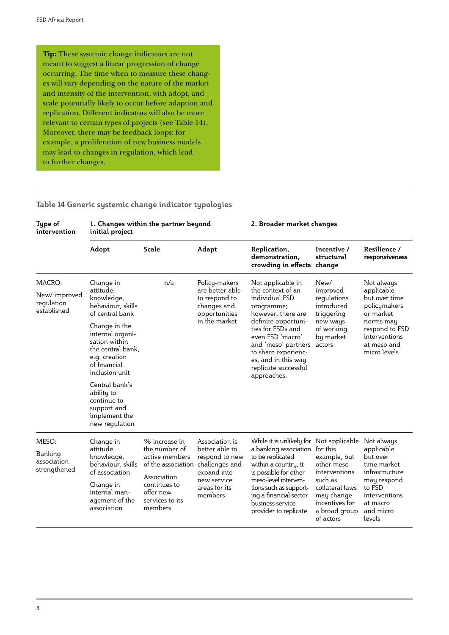**Tip:** These systemic change indicators are not meant to suggest a linear progression of change occurring. The time when to measure these changes will vary depending on the nature of the market and intensity of the intervention, with adopt, and scale potentially likely to occur before adaption and replication. Different indicators will also be more relevant to certain types of projects (see Table 14). Moreover, there may be feedback loops: for example, a proliferation of new business models may lead to changes in regulation, which lead to further changes.

#### **Table 14 Generic systemic change indicator typologies**

| Type of<br>intervention                   | initial project                                                                                                                                                                                                             | 1. Changes within the partner beyond                                                |                                                 | 2. Broader market changes                                                                                                                                                |                                                                                          |                                                                                                                           |  |
|-------------------------------------------|-----------------------------------------------------------------------------------------------------------------------------------------------------------------------------------------------------------------------------|-------------------------------------------------------------------------------------|-------------------------------------------------|--------------------------------------------------------------------------------------------------------------------------------------------------------------------------|------------------------------------------------------------------------------------------|---------------------------------------------------------------------------------------------------------------------------|--|
|                                           | Adopt                                                                                                                                                                                                                       | <b>Scale</b>                                                                        | Adapt                                           | Replication,<br>demonstration,<br>crowding in effects                                                                                                                    | Incentive /<br>structural<br>change                                                      | Resilience /<br>responsiveness                                                                                            |  |
| MACRO:                                    | Change in<br>attitude,                                                                                                                                                                                                      | n/a                                                                                 | Policy-makers<br>are better able                | Not applicable in<br>the context of an                                                                                                                                   | New/<br>improved                                                                         | Not always<br>applicable                                                                                                  |  |
| New/improved<br>regulation<br>established | knowledge,<br>behaviour, skills<br>of central bank                                                                                                                                                                          |                                                                                     | to respond to<br>changes and<br>opportunities   | individual FSD<br>programme;<br>however, there are                                                                                                                       | regulations<br>introduced<br>triggering<br>new ways<br>of working<br>by market<br>actors | but over time<br>policymakers<br>or market<br>norms may<br>respond to FSD<br>interventions<br>at meso and<br>micro levels |  |
|                                           | Change in the<br>internal organi-<br>sation within<br>the central bank,<br>e.g. creation<br>of financial<br>inclusion unit<br>Central bank's<br>ability to<br>continue to<br>support and<br>implement the<br>new regulation |                                                                                     | in the market                                   | definite opportuni-<br>ties for FSDs and<br>even FSD 'macro'<br>and 'meso' partners<br>to share experienc-<br>es, and in this way<br>replicate successful<br>approaches. |                                                                                          |                                                                                                                           |  |
|                                           |                                                                                                                                                                                                                             |                                                                                     |                                                 |                                                                                                                                                                          |                                                                                          |                                                                                                                           |  |
| MESO:                                     | Change in                                                                                                                                                                                                                   | % increase in                                                                       | Association is                                  | While it is unlikely for Not applicable                                                                                                                                  |                                                                                          | Not always                                                                                                                |  |
| Banking<br>association<br>strengthened    | attitude,<br>knowledge,<br>behaviour, skills<br>of association                                                                                                                                                              | the number of<br>active members<br>of the association challenges and<br>Association | better able to<br>respond to new<br>expand into | a banking association for this<br>to be replicated<br>within a country, it<br>is possible for other                                                                      | example, but<br>other meso<br>interventions                                              | applicable<br>but over<br>time market<br>infrastructure                                                                   |  |
|                                           | Change in<br>internal man-<br>agement of the<br>association                                                                                                                                                                 | continues to<br>offer new<br>services to its<br>members                             | new service<br>areas for its<br>members         | meso-level interven-<br>tions such as support-<br>ing a financial sector<br>business service<br>provider to replicate                                                    | such as<br>collateral laws<br>may change<br>incentives for<br>a broad group<br>of actors | may respond<br>to FSD<br>interventions<br>at macro<br>and micro<br>levels                                                 |  |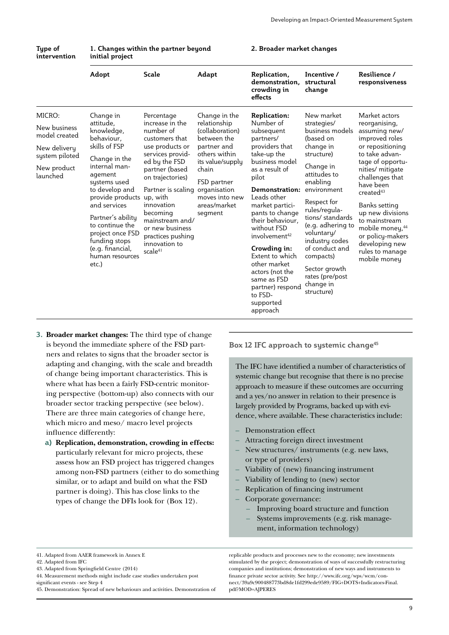|                                                                                                      | mma project                                                                                                                                                                                                                                                                  |                                                                                                                                                                                                                                                                                                     |                                                                                                                                                                                          |                                                                                                                                                                                                                                                                           |                                                                                                                                                                                                                                                       |                                                                                                                                                                                                                                                                                                                                     |  |  |  |  |
|------------------------------------------------------------------------------------------------------|------------------------------------------------------------------------------------------------------------------------------------------------------------------------------------------------------------------------------------------------------------------------------|-----------------------------------------------------------------------------------------------------------------------------------------------------------------------------------------------------------------------------------------------------------------------------------------------------|------------------------------------------------------------------------------------------------------------------------------------------------------------------------------------------|---------------------------------------------------------------------------------------------------------------------------------------------------------------------------------------------------------------------------------------------------------------------------|-------------------------------------------------------------------------------------------------------------------------------------------------------------------------------------------------------------------------------------------------------|-------------------------------------------------------------------------------------------------------------------------------------------------------------------------------------------------------------------------------------------------------------------------------------------------------------------------------------|--|--|--|--|
|                                                                                                      | Adopt                                                                                                                                                                                                                                                                        | <b>Scale</b>                                                                                                                                                                                                                                                                                        | Adapt                                                                                                                                                                                    | Replication,<br>demonstration,<br>crowding in<br>effects                                                                                                                                                                                                                  | Incentive /<br>structural<br>change                                                                                                                                                                                                                   | Resilience /<br>responsiveness                                                                                                                                                                                                                                                                                                      |  |  |  |  |
| MICRO:<br>New business<br>model created<br>New delivery<br>system piloted<br>New product<br>launched | Change in<br>attitude,<br>knowledge,<br>behaviour.<br>skills of FSP<br>Change in the<br>internal man-<br>agement<br>systems used<br>to develop and<br>provide products up, with<br>and services<br>Partner's ability<br>to continue the<br>project once FSD<br>funding stops | Percentage<br>increase in the<br>number of<br>customers that<br>use products or<br>services provid-<br>ed by the FSD<br>partner (based<br>on trajectories)<br>Partner is scaling organisation<br>innovation<br>becoming<br>mainstream and/<br>or new business<br>practices pushing<br>innovation to | Change in the<br>relationship<br>(collaboration)<br>between the<br>partner and<br>others within<br>its value/supply<br>chain<br>FSD partner<br>moves into new<br>areas/market<br>segment | Replication:<br>Number of<br>subsequent<br>partners/<br>providers that<br>take-up the<br>business model<br>as a result of<br>pilot<br>Demonstration:<br>Leads other<br>market partici-<br>pants to change<br>their behaviour.<br>without FSD<br>involvement <sup>42</sup> | New market<br>strategies/<br>business models<br>(based on<br>change in<br>structure)<br>Change in<br>attitudes to<br>enabling<br>environment<br>Respect for<br>rules/regula-<br>tions/ standards<br>(e.g. adhering to<br>voluntary/<br>industry codes | Market actors<br>reorganising,<br>assuming new/<br>improved roles<br>or repositioning<br>to take advan-<br>tage of opportu-<br>nities/ mitigate<br>challenges that<br>have been<br>created <sup>43</sup><br>Banks setting<br>up new divisions<br>to mainstream<br>mobile money, <sup>44</sup><br>or policy-makers<br>developing new |  |  |  |  |
|                                                                                                      | (e.g. financial,<br>human resources<br>etc.)                                                                                                                                                                                                                                 | scale <sup>41</sup>                                                                                                                                                                                                                                                                                 |                                                                                                                                                                                          | Crowding in:<br>Extent to which<br>other market<br>actors (not the<br>same as FSD<br>partner) respond<br>to FSD-<br>supported<br>approach                                                                                                                                 | of conduct and<br>compacts)<br>Sector growth<br>rates (pre/post<br>change in<br>structure)                                                                                                                                                            | rules to manage<br>mobile money                                                                                                                                                                                                                                                                                                     |  |  |  |  |

#### **Type of intervention 1. Changes within the partner beyond initial project**

#### **2. Broader market changes**

- **3. Broader market changes:** The third type of change is beyond the immediate sphere of the FSD partners and relates to signs that the broader sector is adapting and changing, with the scale and breadth of change being important characteristics. This is where what has been a fairly FSD-centric monitoring perspective (bottom-up) also connects with our broader sector tracking perspective (see below). There are three main categories of change here, which micro and meso/ macro level projects influence differently:
	- **a) Replication, demonstration, crowding in effects:** particularly relevant for micro projects, these assess how an FSD project has triggered changes among non-FSD partners (either to do something similar, or to adapt and build on what the FSD partner is doing). This has close links to the types of change the DFIs look for (Box 12).

**Box 12 IFC approach to systemic change45**

The IFC have identified a number of characteristics of systemic change but recognise that there is no precise approach to measure if these outcomes are occurring and a yes/no answer in relation to their presence is largely provided by Programs, backed up with evidence, where available. These characteristics include:

- Demonstration effect
- Attracting foreign direct investment
- New structures/ instruments (e.g. new laws, or type of providers)
- Viability of (new) financing instrument
- Viability of lending to (new) sector
- Replication of financing instrument
- Corporate governance:
	- Improving board structure and function
	- Systems improvements (e.g. risk management, information technology)

replicable products and processes new to the economy; new investments stimulated by the project; demonstration of ways of successfully restructuring companies and institutions; demonstration of new ways and instruments to finance private sector activity. See http://www.ifc.org/wps/wcm/connect/39a9c900488773bd8de1fd299ede9589/FIG+DOTS+Indicators-Final. pdf?MOD=AJPERES

<sup>41.</sup> Adapted from AAER framework in Annex E

<sup>42.</sup> Adapted from IFC

<sup>43.</sup> Adapted from Springfield Centre (2014)

<sup>44.</sup> Measurement methods might include case studies undertaken post significant events - see Step 4

<sup>45.</sup> Demonstration: Spread of new behaviours and activities. Demonstration of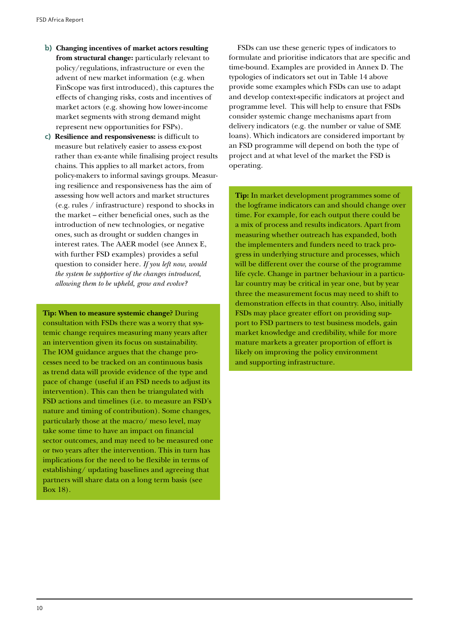- **b) Changing incentives of market actors resulting from structural change:** particularly relevant to policy/regulations, infrastructure or even the advent of new market information (e.g. when FinScope was first introduced), this captures the effects of changing risks, costs and incentives of market actors (e.g. showing how lower-income market segments with strong demand might represent new opportunities for FSPs).
- **c) Resilience and responsiveness:** is difficult to measure but relatively easier to assess ex-post rather than ex-ante while finalising project results chains. This applies to all market actors, from policy-makers to informal savings groups. Measuring resilience and responsiveness has the aim of assessing how well actors and market structures (e.g. rules / infrastructure) respond to shocks in the market – either beneficial ones, such as the introduction of new technologies, or negative ones, such as drought or sudden changes in interest rates. The AAER model (see Annex E, with further FSD examples) provides a seful question to consider here. *If you left now, would the system be supportive of the changes introduced, allowing them to be upheld, grow and evolve?*

**Tip: When to measure systemic change?** During consultation with FSDs there was a worry that systemic change requires measuring many years after an intervention given its focus on sustainability. The IOM guidance argues that the change processes need to be tracked on an continuous basis as trend data will provide evidence of the type and pace of change (useful if an FSD needs to adjust its intervention). This can then be triangulated with FSD actions and timelines (i.e. to measure an FSD's nature and timing of contribution). Some changes, particularly those at the macro/ meso level, may take some time to have an impact on financial sector outcomes, and may need to be measured one or two years after the intervention. This in turn has implications for the need to be flexible in terms of establishing/ updating baselines and agreeing that partners will share data on a long term basis (see Box 18).

FSDs can use these generic types of indicators to formulate and prioritise indicators that are specific and time-bound. Examples are provided in Annex D. The typologies of indicators set out in Table 14 above provide some examples which FSDs can use to adapt and develop context-specific indicators at project and programme level. This will help to ensure that FSDs consider systemic change mechanisms apart from delivery indicators (e.g. the number or value of SME loans). Which indicators are considered important by an FSD programme will depend on both the type of project and at what level of the market the FSD is operating.

**Tip:** In market development programmes some of the logframe indicators can and should change over time. For example, for each output there could be a mix of process and results indicators. Apart from measuring whether outreach has expanded, both the implementers and funders need to track progress in underlying structure and processes, which will be different over the course of the programme life cycle. Change in partner behaviour in a particular country may be critical in year one, but by year three the measurement focus may need to shift to demonstration effects in that country. Also, initially FSDs may place greater effort on providing support to FSD partners to test business models, gain market knowledge and credibility, while for more mature markets a greater proportion of effort is likely on improving the policy environment and supporting infrastructure.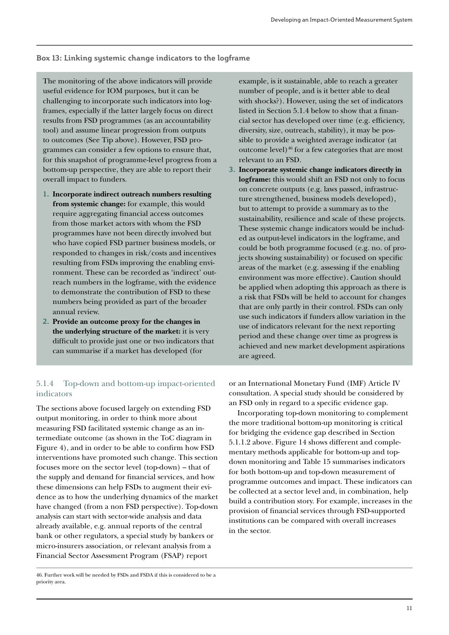#### **Box 13: Linking systemic change indicators to the logframe**

The monitoring of the above indicators will provide useful evidence for IOM purposes, but it can be challenging to incorporate such indicators into logframes, especially if the latter largely focus on direct results from FSD programmes (as an accountability tool) and assume linear progression from outputs to outcomes (See Tip above). However, FSD programmes can consider a few options to ensure that, for this snapshot of programme-level progress from a bottom-up perspective, they are able to report their overall impact to funders.

- **1. Incorporate indirect outreach numbers resulting from systemic change:** for example, this would require aggregating financial access outcomes from those market actors with whom the FSD programmes have not been directly involved but who have copied FSD partner business models, or responded to changes in risk/costs and incentives resulting from FSDs improving the enabling environment. These can be recorded as 'indirect' outreach numbers in the logframe, with the evidence to demonstrate the contribution of FSD to these numbers being provided as part of the broader annual review.
- **2. Provide an outcome proxy for the changes in the underlying structure of the market:** it is very difficult to provide just one or two indicators that can summarise if a market has developed (for

## 5.1.4 Top-down and bottom-up impact-oriented indicators

The sections above focused largely on extending FSD output monitoring, in order to think more about measuring FSD facilitated systemic change as an intermediate outcome (as shown in the ToC diagram in Figure 4), and in order to be able to confirm how FSD interventions have promoted such change. This section focuses more on the sector level (top-down) – that of the supply and demand for financial services, and how these dimensions can help FSDs to augment their evidence as to how the underlying dynamics of the market have changed (from a non FSD perspective). Top-down analysis can start with sector-wide analysis and data already available, e.g. annual reports of the central bank or other regulators, a special study by bankers or micro-insurers association, or relevant analysis from a Financial Sector Assessment Program (FSAP) report

example, is it sustainable, able to reach a greater number of people, and is it better able to deal with shocks?). However, using the set of indicators listed in Section 5.1.4 below to show that a financial sector has developed over time (e.g. efficiency, diversity, size, outreach, stability), it may be possible to provide a weighted average indicator (at outcome level) $46$  for a few categories that are most relevant to an FSD.

**3. Incorporate systemic change indicators directly in logframe:** this would shift an FSD not only to focus on concrete outputs (e.g. laws passed, infrastructure strengthened, business models developed), but to attempt to provide a summary as to the sustainability, resilience and scale of these projects. These systemic change indicators would be included as output-level indicators in the logframe, and could be both programme focused (e.g. no. of projects showing sustainability) or focused on specific areas of the market (e.g. assessing if the enabling environment was more effective). Caution should be applied when adopting this approach as there is a risk that FSDs will be held to account for changes that are only partly in their control. FSDs can only use such indicators if funders allow variation in the use of indicators relevant for the next reporting period and these change over time as progress is achieved and new market development aspirations are agreed.

or an International Monetary Fund (IMF) Article IV consultation. A special study should be considered by an FSD only in regard to a specific evidence gap.

Incorporating top-down monitoring to complement the more traditional bottom-up monitoring is critical for bridging the evidence gap described in Section 5.1.1.2 above. Figure 14 shows different and complementary methods applicable for bottom-up and topdown monitoring and Table 15 summarises indicators for both bottom-up and top-down measurement of programme outcomes and impact. These indicators can be collected at a sector level and, in combination, help build a contribution story. For example, increases in the provision of financial services through FSD-supported institutions can be compared with overall increases in the sector.

<sup>46.</sup> Further work will be needed by FSDs and FSDA if this is considered to be a priority area.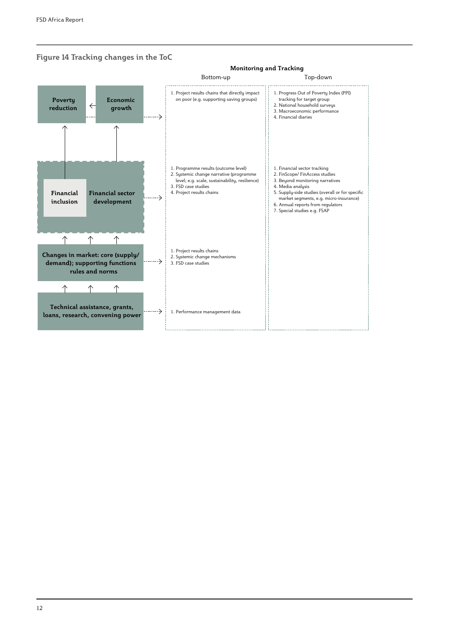## **Figure 14 Tracking changes in the ToC**

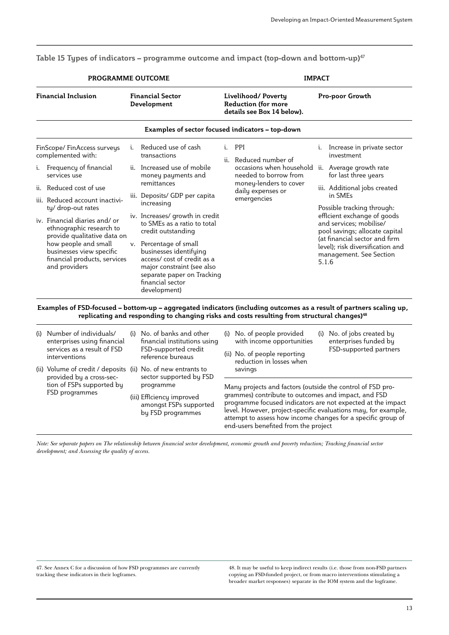**Table 15 Types of indicators – programme outcome and impact (top-down and bottom-up)47**

|                            | PROGRAMME OUTCOME                                                                                 |                                        |                                                                                                                                                                                |                                                                                | <b>IMPACT</b>                                                             |                                                                                          |                                                                                              |  |
|----------------------------|---------------------------------------------------------------------------------------------------|----------------------------------------|--------------------------------------------------------------------------------------------------------------------------------------------------------------------------------|--------------------------------------------------------------------------------|---------------------------------------------------------------------------|------------------------------------------------------------------------------------------|----------------------------------------------------------------------------------------------|--|
| <b>Financial Inclusion</b> |                                                                                                   | <b>Financial Sector</b><br>Development |                                                                                                                                                                                | Livelihood/Poverty<br><b>Reduction (for more</b><br>details see Box 14 below). |                                                                           | Pro-poor Growth                                                                          |                                                                                              |  |
|                            |                                                                                                   |                                        | Examples of sector focused indicators – top-down                                                                                                                               |                                                                                |                                                                           |                                                                                          |                                                                                              |  |
|                            | FinScope/FinAccess surveys<br>complemented with:                                                  | i.                                     | Reduced use of cash<br>transactions                                                                                                                                            | i.                                                                             | PPI<br>ii. Reduced number of                                              | ı.                                                                                       | Increase in private sector<br>investment                                                     |  |
|                            | i. Frequency of financial<br>services use                                                         |                                        | ii. Increased use of mobile<br>money payments and                                                                                                                              |                                                                                | occasions when household ii. Average growth rate<br>needed to borrow from |                                                                                          | for last three years                                                                         |  |
|                            | ii. Reduced cost of use<br>iii. Reduced account inactivi-<br>ty/ drop-out rates                   |                                        | remittances<br>iii. Deposits/ GDP per capita<br>increasing                                                                                                                     |                                                                                | money-lenders to cover<br>daily expenses or<br>emergencies                |                                                                                          | iii. Additional jobs created<br>in SMEs<br>Possible tracking through:                        |  |
|                            | iv. Financial diaries and/or<br>ethnographic research to<br>provide qualitative data on           |                                        | iv. Increases/ growth in credit<br>to SMEs as a ratio to total<br>credit outstanding                                                                                           |                                                                                |                                                                           | efficient exchange of goods<br>and services; mobilise/<br>pool savings; allocate capital |                                                                                              |  |
|                            | how people and small<br>businesses view specific<br>financial products, services<br>and providers |                                        | v. Percentage of small<br>businesses identifying<br>access/cost of credit as a<br>major constraint (see also<br>separate paper on Tracking<br>financial sector<br>development) |                                                                                |                                                                           | 5.1.6                                                                                    | (at financial sector and firm<br>level); risk diversification and<br>management. See Section |  |

**Examples of FSD-focused – bottom-up – aggregated indicators (including outcomes as a result of partners scaling up, replicating and responding to changing risks and costs resulting from structural changes)<sup>48</sup>**

| (i) Number of individuals/<br>enterprises using financial<br>services as a result of FSD<br>interventions                               | (i) | No. of banks and other<br>financial institutions using<br>FSD-supported credit<br>reference bureaus              | (i) No. of people provided<br>with income opportunities<br>(ii) No. of people reporting<br>reduction in losses when                                                                                                                                                                                                                                                   | (i) | No. of jobs created by<br>enterprises funded by<br>FSD-supported partners |
|-----------------------------------------------------------------------------------------------------------------------------------------|-----|------------------------------------------------------------------------------------------------------------------|-----------------------------------------------------------------------------------------------------------------------------------------------------------------------------------------------------------------------------------------------------------------------------------------------------------------------------------------------------------------------|-----|---------------------------------------------------------------------------|
| (ii) Volume of credit / deposits (ii) No. of new entrants to<br>provided by a cross-sec-<br>tion of FSPs supported by<br>FSD programmes |     | sector supported by FSD<br>programme<br>(iii) Efflciency improved<br>amongst FSPs supported<br>by FSD programmes | savings<br>Many projects and factors (outside the control of FSD pro-<br>grammes) contribute to outcomes and impact, and FSD<br>programme focused indicators are not expected at the impact<br>level. However, project-specific evaluations may, for example,<br>attempt to assess how income changes for a specific group of<br>end-users benefited from the project |     |                                                                           |

*Note: See separate papers on The relationship between financial sector development, economic growth and poverty reduction; Tracking financial sector development; and Assessing the quality of access.*

47. See Annex C for a discussion of how FSD programmes are currently tracking these indicators in their logframes.

48. It may be useful to keep indirect results (i.e. those from non-FSD partners copying an FSD-funded project, or from macro interventions stimulating a broader market responses) separate in the IOM system and the logframe.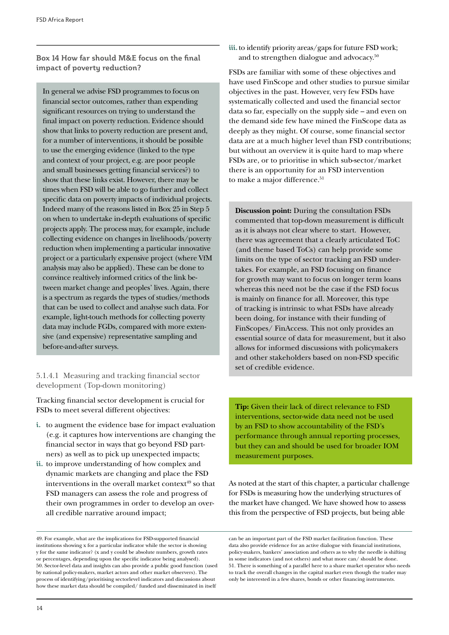**Box 14 How far should M&E focus on the final impact of poverty reduction?**

In general we advise FSD programmes to focus on financial sector outcomes, rather than expending significant resources on trying to understand the final impact on poverty reduction. Evidence should show that links to poverty reduction are present and, for a number of interventions, it should be possible to use the emerging evidence (linked to the type and context of your project, e.g. are poor people and small businesses getting financial services?) to show that these links exist. However, there may be times when FSD will be able to go further and collect specific data on poverty impacts of individual projects. Indeed many of the reasons listed in Box 25 in Step 5 on when to undertake in-depth evaluations of specific projects apply. The process may, for example, include collecting evidence on changes in livelihoods/poverty reduction when implementing a particular innovative project or a particularly expensive project (where VfM analysis may also be applied). These can be done to convince realtively informed critics of the link between market change and peoples' lives. Again, there is a spectrum as regards the types of studies/methods that can be used to collect and analyse such data. For example, light-touch methods for collecting poverty data may include FGDs, compared with more extensive (and expensive) representative sampling and before-and-after surveys.

5.1.4.1 Measuring and tracking financial sector development (Top-down monitoring)

Tracking financial sector development is crucial for FSDs to meet several different objectives:

- **i.** to augment the evidence base for impact evaluation (e.g. it captures how interventions are changing the financial sector in ways that go beyond FSD partners) as well as to pick up unexpected impacts;
- **ii.** to improve understanding of how complex and dynamic markets are changing and place the FSD interventions in the overall market context $49$  so that FSD managers can assess the role and progress of their own programmes in order to develop an overall credible narrative around impact;

**iii.**to identify priority areas/gaps for future FSD work; and to strengthen dialogue and advocacy.<sup>50</sup>

FSDs are familiar with some of these objectives and have used FinScope and other studies to pursue similar objectives in the past. However, very few FSDs have systematically collected and used the financial sector data so far, especially on the supply side – and even on the demand side few have mined the FinScope data as deeply as they might. Of course, some financial sector data are at a much higher level than FSD contributions; but without an overview it is quite hard to map where FSDs are, or to prioritise in which sub-sector/market there is an opportunity for an FSD intervention to make a major difference.<sup>51</sup>

**Discussion point:** During the consultation FSDs commented that top-down measurement is difficult as it is always not clear where to start. However, there was agreement that a clearly articulated ToC (and theme based ToCs) can help provide some limits on the type of sector tracking an FSD undertakes. For example, an FSD focusing on finance for growth may want to focus on longer term loans whereas this need not be the case if the FSD focus is mainly on finance for all. Moreover, this type of tracking is intrinsic to what FSDs have already been doing, for instance with their funding of FinScopes/ FinAccess. This not only provides an essential source of data for measurement, but it also allows for informed discussions with policymakers and other stakeholders based on non-FSD specific set of credible evidence.

**Tip:** Given their lack of direct relevance to FSD interventions, sector-wide data need not be used by an FSD to show accountability of the FSD's performance through annual reporting processes, but they can and should be used for broader IOM measurement purposes.

As noted at the start of this chapter, a particular challenge for FSDs is measuring how the underlying structures of the market have changed. We have showed how to assess this from the perspective of FSD projects, but being able

<sup>49.</sup> For example, what are the implications for FSD-supported financial institutions showing x for a particular indicator while the sector is showing y for the same indicator? (x and y could be absolute numbers, growth rates or percentages, depending upon the specific indicator being analysed). 50. Sector-level data and insights can also provide a public good function (used by national policy-makers, market actors and other market observers). The process of identifying/prioritising sectorlevel indicators and discussions about how these market data should be compiled/ funded and disseminated in itself

can be an important part of the FSD market facilitation function. These data also provide evidence for an active dialogue with financial institutions, policy-makers, bankers' association and others as to why the needle is shifting in some indicators (and not others) and what more can/ should be done. 51. There is something of a parallel here to a share market operator who needs to track the overall changes in the capital market even though the trader may only be interested in a few shares, bonds or other financing instruments.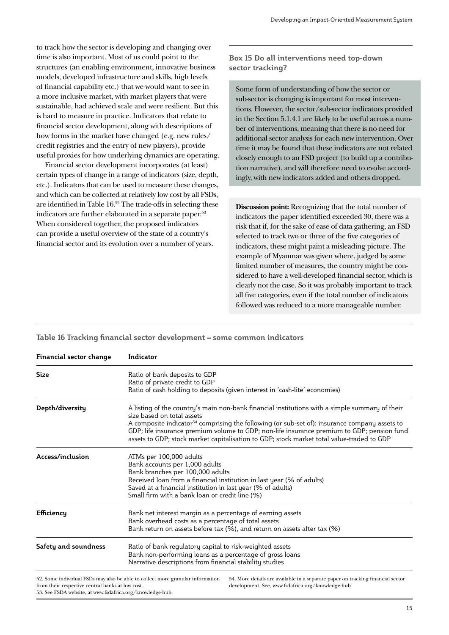to track how the sector is developing and changing over time is also important. Most of us could point to the structures (an enabling environment, innovative business models, developed infrastructure and skills, high levels of financial capability etc.) that we would want to see in a more inclusive market, with market players that were sustainable, had achieved scale and were resilient. But this is hard to measure in practice. Indicators that relate to financial sector development, along with descriptions of how forms in the market have changed (e.g. new rules/ credit registries and the entry of new players), provide useful proxies for how underlying dynamics are operating.

Financial sector development incorporates (at least) certain types of change in a range of indicators (size, depth, etc.). Indicators that can be used to measure these changes, and which can be collected at relatively low cost by all FSDs, are identified in Table 16.52 The trade-offs in selecting these indicators are further elaborated in a separate paper.<sup>53</sup> When considered together, the proposed indicators can provide a useful overview of the state of a country's financial sector and its evolution over a number of years.

**Box 15 Do all interventions need top-down sector tracking?**

Some form of understanding of how the sector or sub-sector is changing is important for most interventions. However, the sector/sub-sector indicators provided in the Section 5.1.4.1 are likely to be useful across a number of interventions, meaning that there is no need for additional sector analysis for each new intervention. Over time it may be found that these indicators are not related closely enough to an FSD project (to build up a contribution narrative), and will therefore need to evolve accordingly, with new indicators added and others dropped.

**Discussion point:** Recognizing that the total number of indicators the paper identified exceeded 30, there was a risk that if, for the sake of ease of data gathering, an FSD selected to track two or three of the five categories of indicators, these might paint a misleading picture. The example of Myanmar was given where, judged by some limited number of measures, the country might be considered to have a well-developed financial sector, which is clearly not the case. So it was probably important to track all five categories, even if the total number of indicators followed was reduced to a more manageable number.

**Table 16 Tracking financial sector development – some common indicators**

| Financial sector change | Indicator                                                                                                                                                                                                                                                                                                                                                                                                                            |
|-------------------------|--------------------------------------------------------------------------------------------------------------------------------------------------------------------------------------------------------------------------------------------------------------------------------------------------------------------------------------------------------------------------------------------------------------------------------------|
| <b>Size</b>             | Ratio of bank deposits to GDP<br>Ratio of private credit to GDP<br>Ratio of cash holding to deposits (given interest in 'cash-lite' economies)                                                                                                                                                                                                                                                                                       |
| Depth/diversity         | A listing of the country's main non-bank financial institutions with a simple summary of their<br>size based on total assets<br>A composite indicator <sup>54</sup> comprising the following (or sub-set of): insurance company assets to<br>GDP; life insurance premium volume to GDP; non-life insurance premium to GDP; pension fund<br>assets to GDP; stock market capitalisation to GDP; stock market total value-traded to GDP |
| Access/inclusion        | ATMs per 100,000 adults<br>Bank accounts per 1,000 adults<br>Bank branches per 100,000 adults<br>Received loan from a financial institution in last year (% of adults)<br>Saved at a financial institution in last year (% of adults)<br>Small firm with a bank loan or credit line (%)                                                                                                                                              |
| Efficiency              | Bank net interest margin as a percentage of earning assets<br>Bank overhead costs as a percentage of total assets<br>Bank return on assets before tax (%), and return on assets after tax (%)                                                                                                                                                                                                                                        |
| Safety and soundness    | Ratio of bank regulatory capital to risk-weighted assets<br>Bank non-performing loans as a percentage of gross loans<br>Narrative descriptions from financial stability studies                                                                                                                                                                                                                                                      |
|                         | 52. Some individual FSDs may also be able to collect more granular information<br>54. More details are available in a separate paper on tracking financial sector                                                                                                                                                                                                                                                                    |

from their respective central banks at low cost. 53. See FSDA website, at www.fsdafrica.org/knowledge-hub. development. See, www.fsdafrica.org/knowledge-hub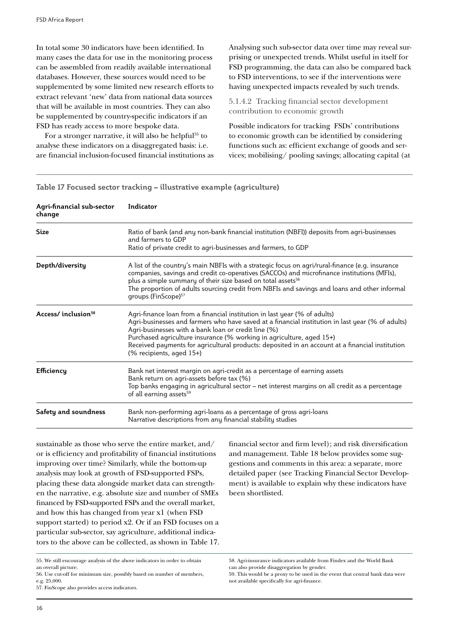In total some 30 indicators have been identified. In many cases the data for use in the monitoring process can be assembled from readily available international databases. However, these sources would need to be supplemented by some limited new research efforts to extract relevant 'new' data from national data sources that will be available in most countries. They can also be supplemented by country-specific indicators if an FSD has ready access to more bespoke data.

For a stronger narrative, it will also be helpful<sup>55</sup> to analyse these indicators on a disaggregated basis: i.e. are financial inclusion-focused financial institutions as Analysing such sub-sector data over time may reveal surprising or unexpected trends. Whilst useful in itself for FSD programming, the data can also be compared back to FSD interventions, to see if the interventions were having unexpected impacts revealed by such trends.

5.1.4.2 Tracking financial sector development contribution to economic growth

Possible indicators for tracking FSDs' contributions to economic growth can be identified by considering functions such as: efficient exchange of goods and services; mobilising/ pooling savings; allocating capital (at

| Agri-financial sub-sector<br>change | Indicator                                                                                                                                                                                                                                                                                                                                                                                                                                   |
|-------------------------------------|---------------------------------------------------------------------------------------------------------------------------------------------------------------------------------------------------------------------------------------------------------------------------------------------------------------------------------------------------------------------------------------------------------------------------------------------|
| Size                                | Ratio of bank (and any non-bank financial institution (NBFI)) deposits from agri-businesses<br>and farmers to GDP<br>Ratio of private credit to agri-businesses and farmers, to GDP                                                                                                                                                                                                                                                         |
| Depth/diversity                     | A list of the country's main NBFIs with a strategic focus on agri/rural-finance (e.g. insurance<br>companies, savings and credit co-operatives (SACCOs) and microfinance institutions (MFIs),<br>plus a simple summary of their size based on total assets <sup>56</sup><br>The proportion of adults sourcing credit from NBFIs and savings and loans and other informal<br>groups (FinScope) <sup>57</sup>                                 |
| Access/ inclusion <sup>58</sup>     | Agri-finance loan from a financial institution in last year (% of adults)<br>Agri-businesses and farmers who have saved at a financial institution in last year (% of adults)<br>Agri-businesses with a bank loan or credit line (%)<br>Purchased agriculture insurance (% working in agriculture, aged 15+)<br>Received payments for agricultural products: deposited in an account at a financial institution<br>(% recipients, aged 15+) |
| Efficiency                          | Bank net interest margin on agri-credit as a percentage of earning assets<br>Bank return on agri-assets before tax (%)<br>Top banks engaging in agricultural sector – net interest margins on all credit as a percentage<br>of all earning assets <sup>59</sup>                                                                                                                                                                             |
| Safety and soundness                | Bank non-performing agri-loans as a percentage of gross agri-loans<br>Narrative descriptions from any financial stability studies                                                                                                                                                                                                                                                                                                           |

**Table 17 Focused sector tracking – illustrative example (agriculture)**

sustainable as those who serve the entire market, and/ or is efficiency and profitability of financial institutions improving over time? Similarly, while the bottom-up analysis may look at growth of FSD-supported FSPs, placing these data alongside market data can strengthen the narrative, e.g. absolute size and number of SMEs financed by FSD-supported FSPs and the overall market, and how this has changed from year x1 (when FSD support started) to period x2. Or if an FSD focuses on a particular sub-sector, say agriculture, additional indicators to the above can be collected, as shown in Table 17. financial sector and firm level); and risk diversification and management. Table 18 below provides some suggestions and comments in this area: a separate, more detailed paper (see Tracking Financial Sector Development) is available to explain why these indicators have been shortlisted.

58. Agri-insurance indicators available from Findex and the World Bank can also provide disaggregation by gender.

59. This would be a proxy to be used in the event that central bank data were not available specifically for agri-finance.

<sup>55.</sup> We still encourage analysis of the above indicators in order to obtain an overall picture.

<sup>56.</sup> Use cut-off for minimum size, possibly based on number of members, e.g. 25,000.

<sup>57.</sup> FinScope also provides access indicators.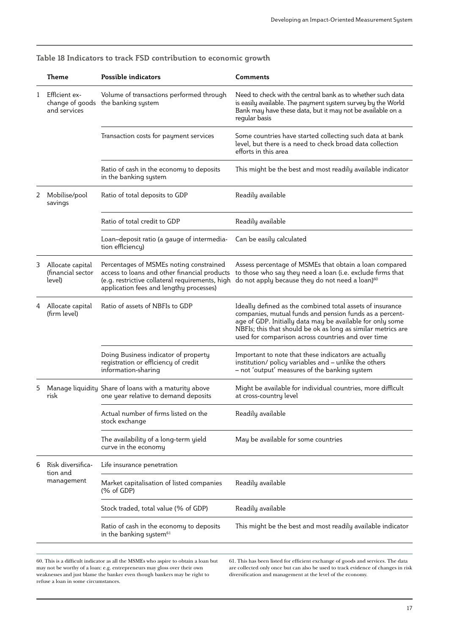|    | Theme                                           | <b>Possible indicators</b>                                                                                                                                                            | Comments                                                                                                                                                                                                                                                                                                |
|----|-------------------------------------------------|---------------------------------------------------------------------------------------------------------------------------------------------------------------------------------------|---------------------------------------------------------------------------------------------------------------------------------------------------------------------------------------------------------------------------------------------------------------------------------------------------------|
| 1  | Efflcient ex-<br>and services                   | Volume of transactions performed through<br>change of goods the banking system                                                                                                        | Need to check with the central bank as to whether such data<br>is easily available. The payment system survey by the World<br>Bank may have these data, but it may not be available on a<br>regular basis                                                                                               |
|    |                                                 | Transaction costs for payment services                                                                                                                                                | Some countries have started collecting such data at bank<br>level, but there is a need to check broad data collection<br>efforts in this area                                                                                                                                                           |
|    |                                                 | Ratio of cash in the economy to deposits<br>in the banking system                                                                                                                     | This might be the best and most readily available indicator                                                                                                                                                                                                                                             |
| 2  | Mobilise/pool<br>savings                        | Ratio of total deposits to GDP                                                                                                                                                        | Readily available                                                                                                                                                                                                                                                                                       |
|    |                                                 | Ratio of total credit to GDP                                                                                                                                                          | Readily available                                                                                                                                                                                                                                                                                       |
|    |                                                 | Loan-deposit ratio (a gauge of intermedia-<br>tion efflciency)                                                                                                                        | Can be easily calculated                                                                                                                                                                                                                                                                                |
| 3  | Allocate capital<br>(financial sector<br>level) | Percentages of MSMEs noting constrained<br>access to loans and other financial products<br>(e.g. restrictive collateral requirements, high<br>application fees and lengthy processes) | Assess percentage of MSMEs that obtain a loan compared<br>to those who say they need a loan (i.e. exclude firms that<br>do not apply because they do not need a loan) <sup>60</sup>                                                                                                                     |
| 4  | Allocate capital<br>(firm level)                | Ratio of assets of NBFIs to GDP                                                                                                                                                       | Ideally defined as the combined total assets of insurance<br>companies, mutual funds and pension funds as a percent-<br>age of GDP. Initially data may be available for only some<br>NBFIs; this that should be ok as long as similar metrics are<br>used for comparison across countries and over time |
|    |                                                 | Doing Business indicator of property<br>registration or efflciency of credit<br>information-sharing                                                                                   | Important to note that these indicators are actually<br>institution/ policy variables and - unlike the others<br>- not 'output' measures of the banking system                                                                                                                                          |
| 5. | risk                                            | Manage liquidity Share of loans with a maturity above<br>one year relative to demand deposits                                                                                         | Might be available for individual countries, more difflcult<br>at cross-country level                                                                                                                                                                                                                   |
|    |                                                 | Actual number of firms listed on the<br>stock exchange                                                                                                                                | Readily available                                                                                                                                                                                                                                                                                       |
|    |                                                 | The availability of a long-term yield<br>curve in the economy                                                                                                                         | May be available for some countries                                                                                                                                                                                                                                                                     |
| 6  | Risk diversifica-<br>tion and                   | Life insurance penetration                                                                                                                                                            |                                                                                                                                                                                                                                                                                                         |
|    | management                                      | Market capitalisation of listed companies<br>$(% \mathcal{L}_{0})$ (% of GDP)                                                                                                         | Readily available                                                                                                                                                                                                                                                                                       |
|    |                                                 | Stock traded, total value (% of GDP)                                                                                                                                                  | Readily available                                                                                                                                                                                                                                                                                       |
|    |                                                 | Ratio of cash in the economy to deposits<br>in the banking system <sup>61</sup>                                                                                                       | This might be the best and most readily available indicator                                                                                                                                                                                                                                             |
|    |                                                 |                                                                                                                                                                                       |                                                                                                                                                                                                                                                                                                         |

**Table 18 Indicators to track FSD contribution to economic growth**

60. This is a difficult indicator as all the MSMEs who aspire to obtain a loan but may not be worthy of a loan: e.g. entrepreneurs may gloss over their own weaknesses and just blame the banker even though bankers may be right to refuse a loan in some circumstances.

61. This has been listed for efficient exchange of goods and services. The data are collected only once but can also be used to track evidence of changes in risk diversification and management at the level of the economy.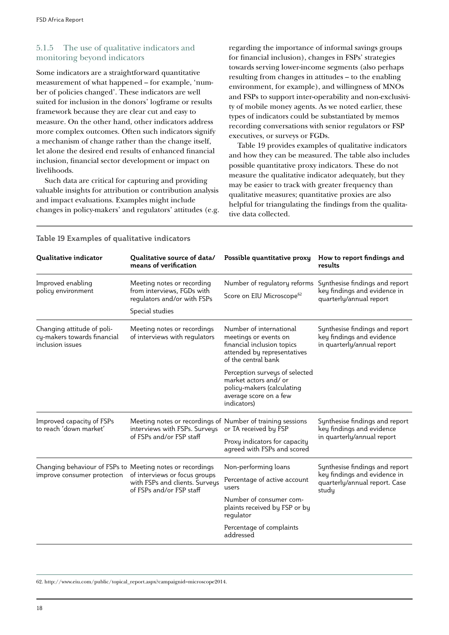### 5.1.5 The use of qualitative indicators and monitoring beyond indicators

Some indicators are a straightforward quantitative measurement of what happened – for example, 'number of policies changed'. These indicators are well suited for inclusion in the donors' logframe or results framework because they are clear cut and easy to measure. On the other hand, other indicators address more complex outcomes. Often such indicators signify a mechanism of change rather than the change itself, let alone the desired end results of enhanced financial inclusion, financial sector development or impact on livelihoods.

Such data are critical for capturing and providing valuable insights for attribution or contribution analysis and impact evaluations. Examples might include changes in policy-makers' and regulators' attitudes (e.g. regarding the importance of informal savings groups for financial inclusion), changes in FSPs' strategies towards serving lower-income segments (also perhaps resulting from changes in attitudes – to the enabling environment, for example), and willingness of MNOs and FSPs to support inter-operability and non-exclusivity of mobile money agents. As we noted earlier, these types of indicators could be substantiated by memos recording conversations with senior regulators or FSP executives, or surveys or FGDs.

Table 19 provides examples of qualitative indicators and how they can be measured. The table also includes possible quantitative proxy indicators. These do not measure the qualitative indicator adequately, but they may be easier to track with greater frequency than qualitative measures; quantitative proxies are also helpful for triangulating the findings from the qualitative data collected.

| Qualitative indicator                                                                    | Qualitative source of data/<br>means of verification                                                                    | Possible quantitative proxy                                                                                                                                                     | How to report findings and<br>results                                                                    |
|------------------------------------------------------------------------------------------|-------------------------------------------------------------------------------------------------------------------------|---------------------------------------------------------------------------------------------------------------------------------------------------------------------------------|----------------------------------------------------------------------------------------------------------|
| Improved enabling<br>policy environment                                                  | Meeting notes or recording<br>from interviews, FGDs with<br>regulators and/or with FSPs<br>Special studies              | Number of regulatory reforms<br>Score on EIU Microscope <sup>62</sup>                                                                                                           | Synthesise findings and report<br>key findings and evidence in<br>quarterly/annual report                |
| Changing attitude of poli-<br>cy-makers towards financial<br>inclusion issues            | Meeting notes or recordings<br>of interviews with regulators                                                            | Number of international<br>meetings or events on<br>financial inclusion topics<br>attended by representatives<br>of the central bank                                            | Synthesise findings and report<br>key findings and evidence<br>in quarterly/annual report                |
|                                                                                          |                                                                                                                         | Perception surveys of selected<br>market actors and/or<br>policy-makers (calculating<br>average score on a few<br>indicators)                                                   |                                                                                                          |
| Improved capacity of FSPs<br>to reach 'down market'                                      | Meeting notes or recordings of Number of training sessions<br>interviews with FSPs. Surveys<br>of FSPs and/or FSP staff | or TA received by FSP<br>Proxy indicators for capacity<br>agreed with FSPs and scored                                                                                           | Synthesise findings and report<br>key findings and evidence<br>in quarterly/annual report                |
| Changing behaviour of FSPs to Meeting notes or recordings<br>improve consumer protection | of interviews or focus groups<br>with FSPs and clients. Surveys<br>of FSPs and/or FSP staff                             | Non-performing loans<br>Percentage of active account<br>users<br>Number of consumer com-<br>plaints received by FSP or by<br>regulator<br>Percentage of complaints<br>addressed | Synthesise findings and report<br>key findings and evidence in<br>quarterly/annual report. Case<br>study |

#### **Table 19 Examples of qualitative indicators**

62. http://www.eiu.com/public/topical\_report.aspx?campaignid=microscope2014.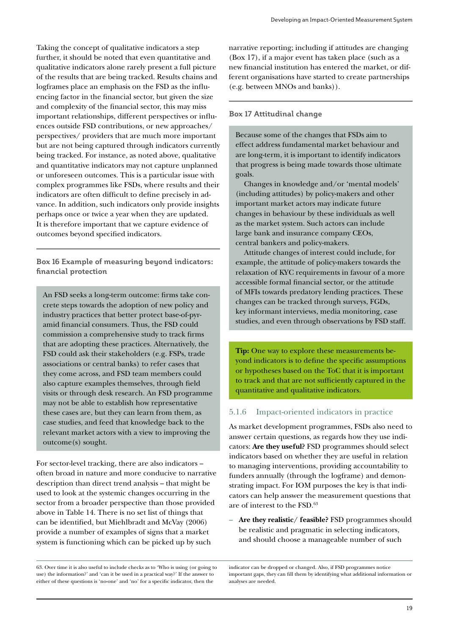Taking the concept of qualitative indicators a step further, it should be noted that even quantitative and qualitative indicators alone rarely present a full picture of the results that are being tracked. Results chains and logframes place an emphasis on the FSD as the influencing factor in the financial sector, but given the size and complexity of the financial sector, this may miss important relationships, different perspectives or influences outside FSD contributions, or new approaches/ perspectives/ providers that are much more important but are not being captured through indicators currently being tracked. For instance, as noted above, qualitative and quantitative indicators may not capture unplanned or unforeseen outcomes. This is a particular issue with complex programmes like FSDs, where results and their indicators are often difficult to define precisely in advance. In addition, such indicators only provide insights perhaps once or twice a year when they are updated. It is therefore important that we capture evidence of outcomes beyond specified indicators.

**Box 16 Example of measuring beyond indicators: financial protection** 

An FSD seeks a long-term outcome: firms take concrete steps towards the adoption of new policy and industry practices that better protect base-of-pyramid financial consumers. Thus, the FSD could commission a comprehensive study to track firms that are adopting these practices. Alternatively, the FSD could ask their stakeholders (e.g. FSPs, trade associations or central banks) to refer cases that they come across, and FSD team members could also capture examples themselves, through field visits or through desk research. An FSD programme may not be able to establish how representative these cases are, but they can learn from them, as case studies, and feed that knowledge back to the relevant market actors with a view to improving the outcome(s) sought.

For sector-level tracking, there are also indicators – often broad in nature and more conducive to narrative description than direct trend analysis – that might be used to look at the systemic changes occurring in the sector from a broader perspective than those provided above in Table 14. There is no set list of things that can be identified, but Miehlbradt and McVay (2006) provide a number of examples of signs that a market system is functioning which can be picked up by such

narrative reporting; including if attitudes are changing (Box 17), if a major event has taken place (such as a new financial institution has entered the market, or different organisations have started to create partnerships (e.g. between MNOs and banks)).

## **Box 17 Attitudinal change**

Because some of the changes that FSDs aim to effect address fundamental market behaviour and are long-term, it is important to identify indicators that progress is being made towards those ultimate goals.

Changes in knowledge and/or 'mental models' (including attitudes) by policy-makers and other important market actors may indicate future changes in behaviour by these individuals as well as the market system. Such actors can include large bank and insurance company CEOs, central bankers and policy-makers.

Attitude changes of interest could include, for example, the attitude of policy-makers towards the relaxation of KYC requirements in favour of a more accessible formal financial sector, or the attitude of MFIs towards predatory lending practices. These changes can be tracked through surveys, FGDs, key informant interviews, media monitoring, case studies, and even through observations by FSD staff.

**Tip:** One way to explore these measurements beyond indicators is to define the specific assumptions or hypotheses based on the ToC that it is important to track and that are not sufficiently captured in the quantitative and qualitative indicators.

## 5.1.6 Impact-oriented indicators in practice

As market development programmes, FSDs also need to answer certain questions, as regards how they use indicators: **Are they useful?** FSD programmes should select indicators based on whether they are useful in relation to managing interventions, providing accountability to funders annually (through the logframe) and demonstrating impact. For IOM purposes the key is that indicators can help answer the measurement questions that are of interest to the FSD.63

– **Are they realistic/ feasible?** FSD programmes should be realistic and pragmatic in selecting indicators, and should choose a manageable number of such

<sup>63.</sup> Over time it is also useful to include checks as to 'Who is using (or going to use) the information?' and 'can it be used in a practical way?' If the answer to either of these questions is 'no-one' and 'no' for a specific indicator, then the

indicator can be dropped or changed. Also, if FSD programmes notice important gaps, they can fill them by identifying what additional information or analyses are needed.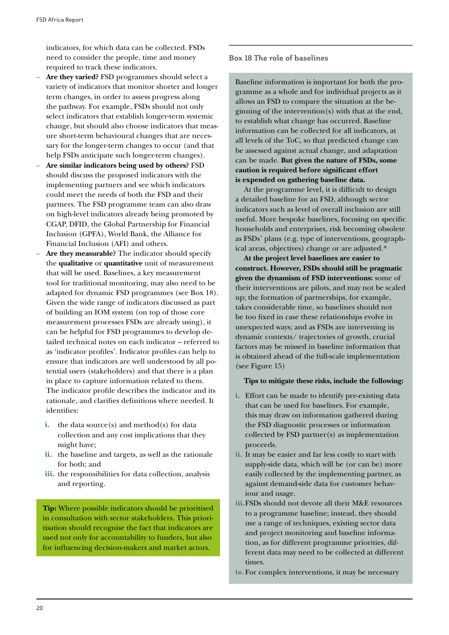indicators, for which data can be collected. FSDs need to consider the people, time and money required to track these indicators.

- **Are they varied?** FSD programmes should select a variety of indicators that monitor shorter and longer term changes, in order to assess progress along the pathway. For example, FSDs should not only select indicators that establish longer-term systemic change, but should also choose indicators that measure short-term behavioural changes that are necessary for the longer-term changes to occur (and that help FSDs anticipate such longer-term changes).
- **Are similar indicators being used by others?** FSD should discuss the proposed indicators with the implementing partners and see which indicators could meet the needs of both the FSD and their partners. The FSD programme team can also draw on high-level indicators already being promoted by CGAP, DFID, the Global Partnership for Financial Inclusion (GPFA), World Bank, the Alliance for Financial Inclusion (AFI) and others.
- **Are they measurable?** The indicator should specify the **qualitative** or **quantitative** unit of measurement that will be used. Baselines, a key measurement tool for traditional monitoring, may also need to be adapted for dynamic FSD programmes (see Box 18). Given the wide range of indicators discussed as part of building an IOM system (on top of those core measurement processes FSDs are already using), it can be helpful for FSD programmes to develop detailed technical notes on each indicator – referred to as 'indicator profiles'. Indicator profiles can help to ensure that indicators are well understood by all potential users (stakeholders) and that there is a plan in place to capture information related to them. The indicator profile describes the indicator and its rationale, and clarifies definitions where needed. It identifies:
	- **i.** the data source(s) and method(s) for data collection and any cost implications that they might have;
	- **ii.** the baseline and targets, as well as the rationale for both; and
	- **iii.** the responsibilities for data collection, analysis and reporting.

**Tip:** Where possible indicators should be prioritised in consultation with sector stakeholders. This prioritisation should recognise the fact that indicators are used not only for accountability to funders, but also for influencing decision-makers and market actors.

**Box 18 The role of baselines**

Baseline information is important for both the programme as a whole and for individual projects as it allows an FSD to compare the situation at the beginning of the intervention(s) with that at the end, to establish what change has occurred. Baseline information can be collected for all indicators, at all levels of the ToC, so that predicted change can be assessed against actual change, and adaptation can be made. **But given the nature of FSDs, some caution is required before significant effort is expended on gathering baseline data.** 

At the programme level, it is difficult to design a detailed baseline for an FSD, although sector indicators such as level of overall inclusion are still useful. More bespoke baselines, focusing on specific households and enterprises, risk becoming obsolete as FSDs' plans (e.g. type of interventions, geographical areas, objectives) change or are adjusted.\*

**At the project level baselines are easier to construct. However, FSDs should still be pragmatic given the dynamism of FSD interventions:** some of their interventions are pilots, and may not be scaled up; the formation of partnerships, for example, takes considerable time, so baselines should not be too fixed in case these relationships evolve in unexpected ways; and as FSDs are intervening in dynamic contexts/ trajectories of growth, crucial factors may be missed in baseline information that is obtained ahead of the full-scale implementation (see Figure 15)

#### **Tips to mitigate these risks, include the following:**

- **i.** Effort can be made to identify pre-existing data that can be used for baselines. For example, this may draw on information gathered during the FSD diagnostic processes or information collected by FSD partner(s) as implementation proceeds.
- **ii.** It may be easier and far less costly to start with supply-side data, which will be (or can be) more easily collected by the implementing partner, as against demand-side data for customer behaviour and usage.
- **iii.**FSDs should not devote all their M&E resources to a programme baseline; instead, they should use a range of techniques, existing sector data and project monitoring and baseline information, as for different programme priorities, different data may need to be collected at different times.
- **iv.** For complex interventions, it may be necessary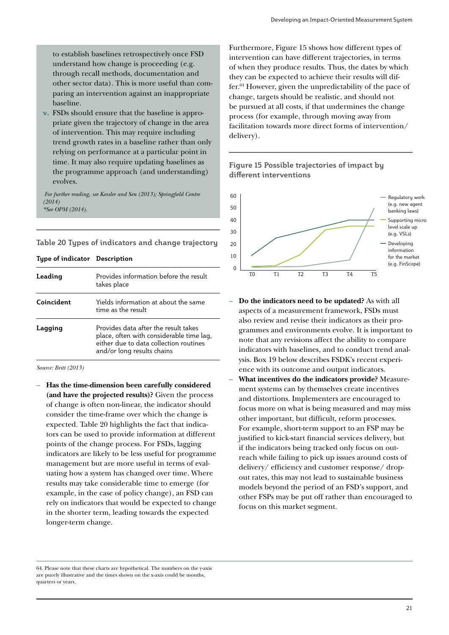to establish baselines retrospectively once FSD understand how change is proceeding (e.g. through recall methods, documentation and other sector data). This is more useful than comparing an intervention against an inappropriate baseline.

**v.** FSDs should ensure that the baseline is appropriate given the trajectory of change in the area of intervention. This may require including trend growth rates in a baseline rather than only relying on performance at a particular point in time. It may also require updating baselines as the programme approach (and understanding) evolves.

 *For further reading, see Kessler and Sen (2013); Springfield Centre (2014) \*See OPM (2014).*

**Table 20 Types of indicators and change trajectory** 

| Type of indicator Description |                                                                                                                                                          |
|-------------------------------|----------------------------------------------------------------------------------------------------------------------------------------------------------|
| Leading                       | Provides information before the result<br>takes place                                                                                                    |
| Coincident                    | Yields information at about the same<br>time as the result                                                                                               |
| Lagging                       | Provides data after the result takes<br>place, often with considerable time lag,<br>either due to data collection routines<br>and/or long results chains |

*Source: Britt (2013)*

– **Has the time-dimension been carefully considered (and have the projected results)?** Given the process of change is often non-linear, the indicator should consider the time-frame over which the change is expected. Table 20 highlights the fact that indicators can be used to provide information at different points of the change process. For FSDs, lagging indicators are likely to be less useful for programme management but are more useful in terms of evaluating how a system has changed over time. Where results may take considerable time to emerge (for example, in the case of policy change), an FSD can rely on indicators that would be expected to change in the shorter term, leading towards the expected longer-term change.

Furthermore, Figure 15 shows how different types of intervention can have different trajectories, in terms of when they produce results. Thus, the dates by which they can be expected to achieve their results will differ.64 However, given the unpredictability of the pace of change, targets should be realistic, and should not be pursued at all costs, if that undermines the change process (for example, through moving away from facilitation towards more direct forms of intervention/ delivery).

#### **Figure 15 Possible trajectories of impact by different interventions**



- **Do the indicators need to be updated?** As with all aspects of a measurement framework, FSDs must also review and revise their indicators as their programmes and environments evolve. It is important to note that any revisions affect the ability to compare indicators with baselines, and to conduct trend analysis. Box 19 below describes FSDK's recent experience with its outcome and output indicators.
- **What incentives do the indicators provide?** Measurement systems can by themselves create incentives and distortions. Implementers are encouraged to focus more on what is being measured and may miss other important, but difficult, reform processes. For example, short-term support to an FSP may be justified to kick-start financial services delivery, but if the indicators being tracked only focus on outreach while failing to pick up issues around costs of delivery/ efficiency and customer response/ dropout rates, this may not lead to sustainable business models beyond the period of an FSD's support, and other FSPs may be put off rather than encouraged to focus on this market segment.

<sup>64.</sup> Please note that these charts are hypothetical. The numbers on the y-axis are purely illustrative and the times shown on the x-axis could be months, quarters or years.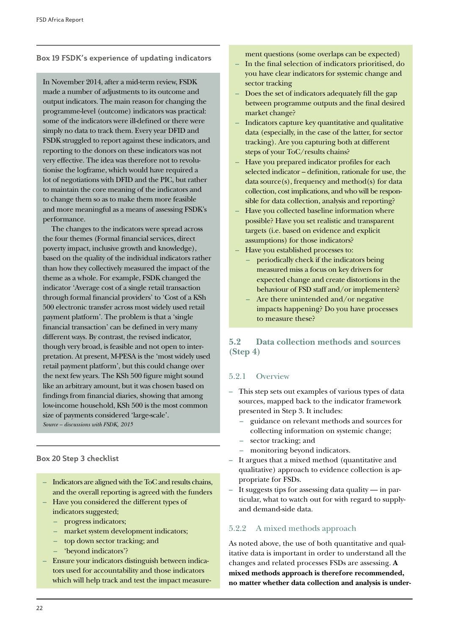**Box 19 FSDK's experience of updating indicators**

In November 2014, after a mid-term review, FSDK made a number of adjustments to its outcome and output indicators. The main reason for changing the programme-level (outcome) indicators was practical: some of the indicators were ill-defined or there were simply no data to track them. Every year DFID and FSDK struggled to report against these indicators, and reporting to the donors on these indicators was not very effective. The idea was therefore not to revolutionise the logframe, which would have required a lot of negotiations with DFID and the PIC, but rather to maintain the core meaning of the indicators and to change them so as to make them more feasible and more meaningful as a means of assessing FSDK's performance.

The changes to the indicators were spread across the four themes (Formal financial services, direct poverty impact, inclusive growth and knowledge), based on the quality of the individual indicators rather than how they collectively measured the impact of the theme as a whole. For example, FSDK changed the indicator 'Average cost of a single retail transaction through formal financial providers' to 'Cost of a KSh 500 electronic transfer across most widely used retail payment platform'. The problem is that a 'single financial transaction' can be defined in very many different ways. By contrast, the revised indicator, though very broad, is feasible and not open to interpretation. At present, M-PESA is the 'most widely used retail payment platform', but this could change over the next few years. The KSh 500 figure might sound like an arbitrary amount, but it was chosen based on findings from financial diaries, showing that among low-income household, KSh 500 is the most common size of payments considered 'large-scale'. *Source – discussions with FSDK, 2015*

#### **Box 20 Step 3 checklist**

- Indicators are aligned with the ToC and results chains, and the overall reporting is agreed with the funders
- Have you considered the different types of indicators suggested;
	- progress indicators;
	- market system development indicators;
	- top down sector tracking; and
	- 'beyond indicators'?
- Ensure your indicators distinguish between indicators used for accountability and those indicators which will help track and test the impact measure-

ment questions (some overlaps can be expected)

- In the final selection of indicators prioritised, do you have clear indicators for systemic change and sector tracking
- Does the set of indicators adequately fill the gap between programme outputs and the final desired market change?
- Indicators capture key quantitative and qualitative data (especially, in the case of the latter, for sector tracking). Are you capturing both at different steps of your ToC/results chains?
- Have you prepared indicator profiles for each selected indicator – definition, rationale for use, the  $data source(s)$ , frequency and method(s) for data collection, cost implications, and who will be responsible for data collection, analysis and reporting?
- Have you collected baseline information where possible? Have you set realistic and transparent targets (i.e. based on evidence and explicit assumptions) for those indicators?
- Have you established processes to:
	- periodically check if the indicators being measured miss a focus on key drivers for expected change and create distortions in the behaviour of FSD staff and/or implementers?
	- Are there unintended and/or negative impacts happening? Do you have processes to measure these?

**5.2 Data collection methods and sources (Step 4)**

#### 5.2.1 Overview

- This step sets out examples of various types of data sources, mapped back to the indicator framework presented in Step 3. It includes:
	- guidance on relevant methods and sources for collecting information on systemic change;
	- sector tracking; and
	- monitoring beyond indicators.
- It argues that a mixed method (quantitative and qualitative) approach to evidence collection is appropriate for FSDs.
- It suggests tips for assessing data quality in particular, what to watch out for with regard to supplyand demand-side data.

#### 5.2.2 A mixed methods approach

As noted above, the use of both quantitative and qualitative data is important in order to understand all the changes and related processes FSDs are assessing. **A mixed methods approach is therefore recommended, no matter whether data collection and analysis is under-**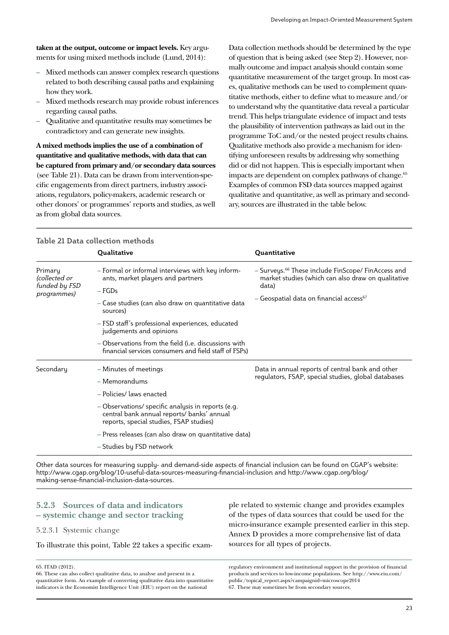**taken at the output, outcome or impact levels.** Key arguments for using mixed methods include (Lund, 2014):

- Mixed methods can answer complex research questions related to both describing causal paths and explaining how they work.
- Mixed methods research may provide robust inferences regarding causal paths.
- Qualitative and quantitative results may sometimes be contradictory and can generate new insights.

**A mixed methods implies the use of a combination of quantitative and qualitative methods, with data that can be captured from primary and/or secondary data sources** (see Table 21). Data can be drawn from intervention-specific engagements from direct partners, industry associations, regulators, policy-makers, academic research or other donors' or programmes' reports and studies, as well as from global data sources.

**Table 21 Data collection methods**

Data collection methods should be determined by the type of question that is being asked (see Step 2). However, normally outcome and impact analysis should contain some quantitative measurement of the target group. In most cases, qualitative methods can be used to complement quantitative methods, either to define what to measure and/or to understand why the quantitative data reveal a particular trend. This helps triangulate evidence of impact and tests the plausibility of intervention pathways as laid out in the programme ToC and/or the nested project results chains. Qualitative methods also provide a mechanism for identifying unforeseen results by addressing why something did or did not happen. This is especially important when impacts are dependent on complex pathways of change.<sup>65</sup> Examples of common FSD data sources mapped against qualitative and quantitative, as well as primary and secondary, sources are illustrated in the table below.

|                                                          | Qualitative                                                                                                                                                                                                                                                                                                                                                         | Quantitative                                                                                                                                                                         |
|----------------------------------------------------------|---------------------------------------------------------------------------------------------------------------------------------------------------------------------------------------------------------------------------------------------------------------------------------------------------------------------------------------------------------------------|--------------------------------------------------------------------------------------------------------------------------------------------------------------------------------------|
| Primary<br>(collected or<br>funded by FSD<br>programmes) | - Formal or informal interviews with key inform-<br>ants, market players and partners<br>$-$ FGDs<br>– Case studies (can also draw on quantitative data<br>sources)<br>- FSD staff's professional experiences, educated<br>judgements and opinions<br>– Observations from the field (i.e. discussions with<br>financial services consumers and field staff of FSPs) | - Surveys. <sup>66</sup> These include FinScope/ FinAccess and<br>market studies (which can also draw on qualitative<br>data)<br>- Geospatial data on financial access <sup>67</sup> |
| Secondary                                                | – Minutes of meetings<br>- Memorandums<br>- Policies/ laws enacted<br>– Observations/ specific analysis in reports (e.g.<br>central bank annual reports/ banks' annual<br>reports, special studies, FSAP studies)<br>- Press releases (can also draw on quantitative data)<br>- Studies by FSD network                                                              | Data in annual reports of central bank and other<br>regulators, FSAP, special studies, global databases                                                                              |

Other data sources for measuring supply- and demand-side aspects of financial inclusion can be found on CGAP's website: http://www.cgap.org/blog/10-useful-data-sources-measuring-financial-inclusion and http://www.cgap.org/blog/ making-sense-financial-inclusion-data-sources.

#### **5.2.3 Sources of data and indicators – systemic change and sector tracking**

5.2.3.1 Systemic change

To illustrate this point, Table 22 takes a specific exam-

65. ITAD (2012). 66. These can also collect qualitative data, to analyse and present in a quantitative form. An example of converting qualitative data into quantitative indicators is the Economist Intelligence Unit (EIU) report on the national

ple related to systemic change and provides examples of the types of data sources that could be used for the micro-insurance example presented earlier in this step. Annex D provides a more comprehensive list of data sources for all types of projects.

regulatory environment and institutional support in the provision of financial products and services to low-income populations. See http://www.eiu.com/ public/topical\_report.aspx?campaignid=microscope2014 67. These may sometimes be from secondary sources.

#### 23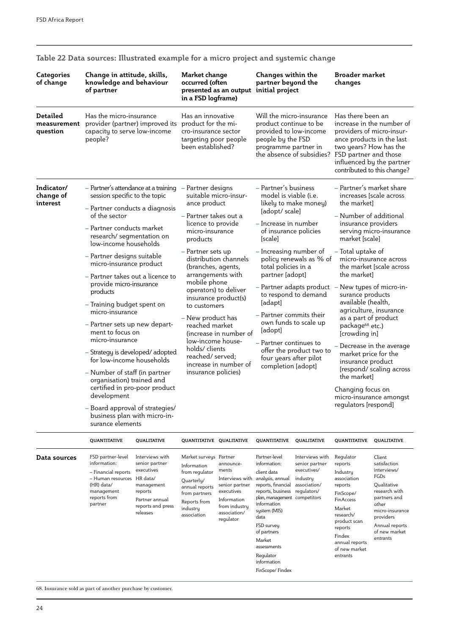| <b>Categories</b><br>of change             | Change in attitude, skills,<br>knowledge and behaviour<br>of partner                                                                                                                                                                                                                                                                                                                                                                                                                                                                                                                                                                                                                                                                                            | Market change<br>occurred (often<br>presented as an output initial project<br>in a FSD logframe)                                                                                                                                                                                                                                                                                                                                                                         | Changes within the<br>partner beyond the                                                                                                                                                                                                                                                                                                                                                                                                                                                        | <b>Broader market</b><br>changes                                                                                                                                                                                                                                                                                                                                                                                                                                                                                                                                                                                               |
|--------------------------------------------|-----------------------------------------------------------------------------------------------------------------------------------------------------------------------------------------------------------------------------------------------------------------------------------------------------------------------------------------------------------------------------------------------------------------------------------------------------------------------------------------------------------------------------------------------------------------------------------------------------------------------------------------------------------------------------------------------------------------------------------------------------------------|--------------------------------------------------------------------------------------------------------------------------------------------------------------------------------------------------------------------------------------------------------------------------------------------------------------------------------------------------------------------------------------------------------------------------------------------------------------------------|-------------------------------------------------------------------------------------------------------------------------------------------------------------------------------------------------------------------------------------------------------------------------------------------------------------------------------------------------------------------------------------------------------------------------------------------------------------------------------------------------|--------------------------------------------------------------------------------------------------------------------------------------------------------------------------------------------------------------------------------------------------------------------------------------------------------------------------------------------------------------------------------------------------------------------------------------------------------------------------------------------------------------------------------------------------------------------------------------------------------------------------------|
| <b>Detailed</b><br>measurement<br>question | Has the micro-insurance<br>provider (partner) improved its product for the mi-<br>capacity to serve low-income<br>people?                                                                                                                                                                                                                                                                                                                                                                                                                                                                                                                                                                                                                                       | Has an innovative<br>cro-insurance sector<br>targeting poor people<br>been established?                                                                                                                                                                                                                                                                                                                                                                                  | Will the micro-insurance<br>product continue to be<br>provided to low-income<br>people by the FSD<br>programme partner in<br>the absence of subsidies? FSD partner and those                                                                                                                                                                                                                                                                                                                    | Has there been an<br>increase in the number of<br>providers of micro-insur-<br>ance products in the last<br>two years? How has the<br>influenced by the partner<br>contributed to this change?                                                                                                                                                                                                                                                                                                                                                                                                                                 |
| Indicator/<br>change of<br>interest        | - Partner's attendance at a training - Partner designs<br>session specific to the topic<br>- Partner conducts a diagnosis<br>of the sector<br>- Partner conducts market<br>research/ segmentation on<br>low-income households<br>– Partner designs suitable<br>micro-insurance product<br>– Partner takes out a licence to<br>provide micro-insurance<br>products<br>- Training budget spent on<br>micro-insurance<br>- Partner sets up new depart-<br>ment to focus on<br>micro-insurance<br>- Strategy is developed/adopted<br>for low-income households<br>- Number of staff (in partner<br>organisation) trained and<br>certified in pro-poor product<br>development<br>- Board approval of strategies/<br>business plan with micro-in-<br>surance elements | suitable micro-insur-<br>ance product<br>– Partner takes out a<br>licence to provide<br>micro-insurance<br>products<br>- Partner sets up<br>distribution channels<br>(branches, agents,<br>arrangements with<br>mobile phone<br>operators) to deliver<br>insurance product(s)<br>to customers<br>- New product has<br>reached market<br>(increase in number of<br>low-income house-<br>holds/ clients<br>reached/served:<br>increase in number of<br>insurance policies) | - Partner's business<br>model is viable ( <i>i.e.</i><br>likely to make money)<br>[adopt/ scale]<br>– Increase in number<br>of insurance policies<br>[scale]<br>- Increasing number of<br>policy renewals as % of<br>total policies in a<br>partner [adopt]<br>– Partner adapts product<br>to respond to demand<br>[adapt]<br>– Partner commits their<br>own funds to scale up<br>[adopt]<br>- Partner continues to<br>offer the product two to<br>four years after pilot<br>completion [adopt] | – Partner's market share<br>increases Iscale across<br>the market]<br>– Number of additional<br>insurance providers<br>serving micro-insurance<br>market [scale]<br>- Total uptake of<br>micro-insurance across<br>the market [scale across<br>the marketl<br>- New types of micro-in-<br>surance products<br>available (health,<br>agriculture, insurance<br>as a part of product<br>package <sup>68</sup> etc.)<br>[crowding in]<br>- Decrease in the average<br>market price for the<br>insurance product<br>[respond/ scaling across<br>the market<br>Changing focus on<br>micro-insurance amongst<br>regulators [respond] |
|                                            | QUANTITATIVE<br>QUALITATIVE                                                                                                                                                                                                                                                                                                                                                                                                                                                                                                                                                                                                                                                                                                                                     | QUANTITATIVE QUALITATIVE                                                                                                                                                                                                                                                                                                                                                                                                                                                 | QUANTITATIVE QUALITATIVE                                                                                                                                                                                                                                                                                                                                                                                                                                                                        | QUANTITATIVE QUALITATIVE                                                                                                                                                                                                                                                                                                                                                                                                                                                                                                                                                                                                       |

| Table 22 Data sources: Illustrated example for a micro project and systemic change |  |  |  |
|------------------------------------------------------------------------------------|--|--|--|
|------------------------------------------------------------------------------------|--|--|--|

|              | <b>QUANTITATIVE</b>                                                                                                                  | QUALITATIVE                                                                                                                             | QUANTITATIVE QUALITATIVE                                                                                                                            |                                                                                                                                    | <b>QUANTITATIVE</b>                                                                                                                                                                                                                                                                     | QUALITATIVE                                                                                 | QUANTITATIVE                                                                                                                                                                                    | QUALITATIVE                                                                                                                                                                           |
|--------------|--------------------------------------------------------------------------------------------------------------------------------------|-----------------------------------------------------------------------------------------------------------------------------------------|-----------------------------------------------------------------------------------------------------------------------------------------------------|------------------------------------------------------------------------------------------------------------------------------------|-----------------------------------------------------------------------------------------------------------------------------------------------------------------------------------------------------------------------------------------------------------------------------------------|---------------------------------------------------------------------------------------------|-------------------------------------------------------------------------------------------------------------------------------------------------------------------------------------------------|---------------------------------------------------------------------------------------------------------------------------------------------------------------------------------------|
| Data sources | FSD partner-level<br>information:<br>- Financial reports<br>- Human resources<br>(HR) data/<br>management<br>reports from<br>partner | Interviews with<br>senior partner<br>executives<br>HR data/<br>management<br>reports<br>Partner annual<br>reports and press<br>releases | Market surveys Partner<br>Information<br>from regulator<br>Ouarterly/<br>annual reports<br>from partners<br>Reports from<br>industry<br>association | announce-<br>ments<br>Interviews with<br>senior partner<br>executives<br>Information<br>from industry<br>association/<br>regulator | Partner-level<br>information:<br>client data<br>analysis, annual<br>reports, financial<br>reports, business<br>plan, management competitors<br>information<br>system (MIS)<br>data<br>FSD survey<br>of partners<br>Market<br>assessments<br>Regulator<br>information<br>FinScope/Findex | Interviews with<br>senior partner<br>executives/<br>industru<br>association/<br>regulators/ | Regulator<br>reports<br>Industru<br>association<br>reports<br>FinScope/<br>FinAccess<br>Market<br>research/<br>product scan<br>reports<br>Findex<br>annual reports<br>of new market<br>entrants | Client<br>satisfaction<br>interviews/<br>FGDs<br>Oualitative<br>research with<br>partners and<br>other<br>micro-insurance<br>providers<br>Annual reports<br>of new market<br>entrants |
|              |                                                                                                                                      |                                                                                                                                         |                                                                                                                                                     |                                                                                                                                    |                                                                                                                                                                                                                                                                                         |                                                                                             |                                                                                                                                                                                                 |                                                                                                                                                                                       |

68. Insurance sold as part of another purchase by customer.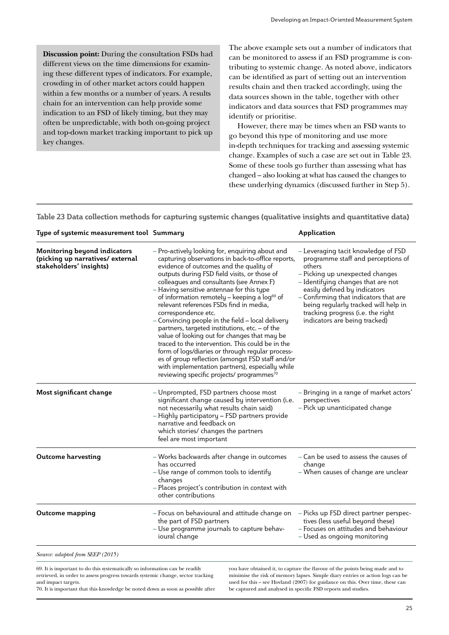**Discussion point:** During the consultation FSDs had different views on the time dimensions for examining these different types of indicators. For example, crowding in of other market actors could happen within a few months or a number of years. A results chain for an intervention can help provide some indication to an FSD of likely timing, but they may often be unpredictable, with both on-going project and top-down market tracking important to pick up key changes.

The above example sets out a number of indicators that can be monitored to assess if an FSD programme is contributing to systemic change. As noted above, indicators can be identified as part of setting out an intervention results chain and then tracked accordingly, using the data sources shown in the table, together with other indicators and data sources that FSD programmes may identify or prioritise.

However, there may be times when an FSD wants to go beyond this type of monitoring and use more in-depth techniques for tracking and assessing systemic change. Examples of such a case are set out in Table 23. Some of these tools go further than assessing what has changed – also looking at what has caused the changes to these underlying dynamics (discussed further in Step 5).

**Table 23 Data collection methods for capturing systemic changes (qualitative insights and quantitative data)**

| Type of systemic measurement tool Summary                                                  |                                                                                                                                                                                                                                                                                                                                                                                                                                                                                                                                                                                                                                                                                                                                                                                                                                                | Application                                                                                                                                                                                                                                                                                                                                         |
|--------------------------------------------------------------------------------------------|------------------------------------------------------------------------------------------------------------------------------------------------------------------------------------------------------------------------------------------------------------------------------------------------------------------------------------------------------------------------------------------------------------------------------------------------------------------------------------------------------------------------------------------------------------------------------------------------------------------------------------------------------------------------------------------------------------------------------------------------------------------------------------------------------------------------------------------------|-----------------------------------------------------------------------------------------------------------------------------------------------------------------------------------------------------------------------------------------------------------------------------------------------------------------------------------------------------|
| Monitoring beyond indicators<br>(picking up narratives/external<br>stakeholders' insights) | - Pro-actively looking for, enquiring about and<br>capturing observations in back-to-offlce reports,<br>evidence of outcomes and the quality of<br>outputs during FSD field visits, or those of<br>colleagues and consultants (see Annex F)<br>- Having sensitive antennae for this type<br>of information remotely – keeping a $log^{69}$ of<br>relevant references FSDs find in media,<br>correspondence etc.<br>- Convincing people in the field - local delivery<br>partners, targeted institutions, etc. - of the<br>value of looking out for changes that may be<br>traced to the intervention. This could be in the<br>form of logs/diaries or through regular process-<br>es of group reflection (amongst FSD staff and/or<br>with implementation partners), especially while<br>reviewing specific projects/ programmes <sup>70</sup> | - Leveraging tacit knowledge of FSD<br>programme staff and perceptions of<br>others<br>- Picking up unexpected changes<br>- Identifying changes that are not<br>easily defined by indicators<br>- Confirming that indicators that are<br>being regularly tracked will help in<br>tracking progress (i.e. the right<br>indicators are being tracked) |
| Most significant change                                                                    | - Unprompted, FSD partners choose most<br>significant change caused by intervention (i.e.<br>not necessarily what results chain said)<br>- Highly participatory - FSD partners provide<br>narrative and feedback on<br>which stories/ changes the partners<br>feel are most important                                                                                                                                                                                                                                                                                                                                                                                                                                                                                                                                                          | - Bringing in a range of market actors'<br>perspectives<br>- Pick up unanticipated change                                                                                                                                                                                                                                                           |
| <b>Outcome harvesting</b>                                                                  | – Works backwards after change in outcomes<br>has occurred<br>- Use range of common tools to identify<br>changes<br>- Places project's contribution in context with<br>other contributions                                                                                                                                                                                                                                                                                                                                                                                                                                                                                                                                                                                                                                                     | - Can be used to assess the causes of<br>change<br>- When causes of change are unclear                                                                                                                                                                                                                                                              |
| <b>Outcome mapping</b>                                                                     | – Focus on behavioural and attitude change on<br>the part of FSD partners<br>- Use programme journals to capture behav-<br>ioural change                                                                                                                                                                                                                                                                                                                                                                                                                                                                                                                                                                                                                                                                                                       | - Picks up FSD direct partner perspec-<br>tives (less useful beyond these)<br>- Focuses on attitudes and behaviour<br>- Used as ongoing monitoring                                                                                                                                                                                                  |
|                                                                                            |                                                                                                                                                                                                                                                                                                                                                                                                                                                                                                                                                                                                                                                                                                                                                                                                                                                |                                                                                                                                                                                                                                                                                                                                                     |

*Source: adapted from SEEP (2015)*

69. It is important to do this systematically so information can be readily retrieved, in order to assess progress towards systemic change, sector tracking and impact targets.

you have obtained it, to capture the flavour of the points being made and to minimise the risk of memory lapses. Simple diary entries or action logs can be used for this – see Hovland (2007) for guidance on this. Over time, these can be captured and analysed in specific FSD reports and studies.

70. It is important that this knowledge be noted down as soon as possible after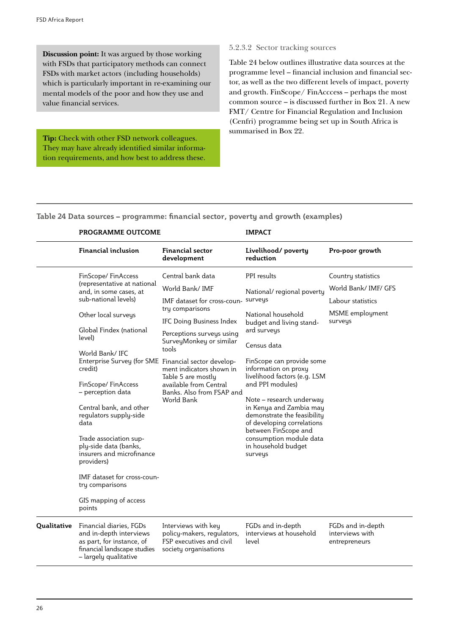**Discussion point:** It was argued by those working with FSDs that participatory methods can connect FSDs with market actors (including households) which is particularly important in re-examining our mental models of the poor and how they use and value financial services.

**Tip:** Check with other FSD network colleagues. They may have already identified similar information requirements, and how best to address these.

#### 5.2.3.2 Sector tracking sources

Table 24 below outlines illustrative data sources at the programme level – financial inclusion and financial sector, as well as the two different levels of impact, poverty and growth. FinScope/ FinAcccess – perhaps the most common source – is discussed further in Box 21. A new FMT/ Centre for Financial Regulation and Inclusion (Cenfri) programme being set up in South Africa is summarised in Box 22.

**Table 24 Data sources – programme: financial sector, poverty and growth (examples)**

|             | <b>PROGRAMME OUTCOME</b>                                                                                                                |                                                                                                                                                                             | <b>IMPACT</b>                                                                                                                                                                                         |                                                       |  |
|-------------|-----------------------------------------------------------------------------------------------------------------------------------------|-----------------------------------------------------------------------------------------------------------------------------------------------------------------------------|-------------------------------------------------------------------------------------------------------------------------------------------------------------------------------------------------------|-------------------------------------------------------|--|
|             | Financial inclusion                                                                                                                     | <b>Financial sector</b><br>development                                                                                                                                      | Livelihood/poverty<br>reduction                                                                                                                                                                       | Pro-poor growth                                       |  |
|             | FinScope/FinAccess                                                                                                                      | Central bank data                                                                                                                                                           | PPI results                                                                                                                                                                                           | Country statistics                                    |  |
|             | (representative at national<br>and, in some cases, at                                                                                   | World Bank/ IMF<br>IMF dataset for cross-coun-                                                                                                                              | National/regional poverty                                                                                                                                                                             | World Bank/ IMF/ GFS                                  |  |
|             | sub-national levels)                                                                                                                    |                                                                                                                                                                             | surveys                                                                                                                                                                                               | Labour statistics                                     |  |
|             | Other local surveys                                                                                                                     | try comparisons                                                                                                                                                             | National household                                                                                                                                                                                    | MSME employment                                       |  |
|             | Global Findex (national                                                                                                                 | IFC Doing Business Index<br>Perceptions surveys using                                                                                                                       | budget and living stand-<br>ard surveys                                                                                                                                                               | surveys                                               |  |
|             | level)                                                                                                                                  | SurveyMonkey or similar                                                                                                                                                     | Census data                                                                                                                                                                                           |                                                       |  |
|             | World Bank/ IFC                                                                                                                         | tools                                                                                                                                                                       |                                                                                                                                                                                                       |                                                       |  |
|             | credit)                                                                                                                                 | Enterprise Survey (for SME Financial sector develop-<br>ment indicators shown in<br>Table 5 are mostly<br>available from Central<br>Banks. Also from FSAP and<br>World Bank | FinScope can provide some<br>information on proxy<br>livelihood factors (e.g. LSM                                                                                                                     |                                                       |  |
|             | FinScope/FinAccess<br>- perception data                                                                                                 |                                                                                                                                                                             | and PPI modules)                                                                                                                                                                                      |                                                       |  |
|             | Central bank, and other<br>regulators supply-side<br>data                                                                               |                                                                                                                                                                             | Note – research underway<br>in Kenya and Zambia may<br>demonstrate the feasibility<br>of developing correlations<br>between FinScope and<br>consumption module data<br>in household budget<br>surveys |                                                       |  |
|             | Trade association sup-<br>ply-side data (banks,<br>insurers and microfinance<br>providers)                                              |                                                                                                                                                                             |                                                                                                                                                                                                       |                                                       |  |
|             | IMF dataset for cross-coun-<br>try comparisons                                                                                          |                                                                                                                                                                             |                                                                                                                                                                                                       |                                                       |  |
|             | GIS mapping of access<br>points                                                                                                         |                                                                                                                                                                             |                                                                                                                                                                                                       |                                                       |  |
| Qualitative | Financial diaries, FGDs<br>and in-depth interviews<br>as part, for instance, of<br>financial landscape studies<br>- largely qualitative | Interviews with key<br>policy-makers, regulators,<br>FSP executives and civil<br>society organisations                                                                      | FGDs and in-depth<br>interviews at household<br>level                                                                                                                                                 | FGDs and in-depth<br>interviews with<br>entrepreneurs |  |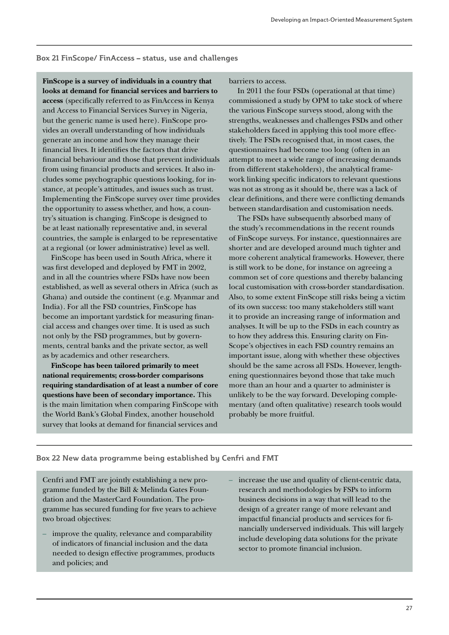#### **Box 21 FinScope/ FinAccess – status, use and challenges**

**FinScope is a survey of individuals in a country that looks at demand for financial services and barriers to access** (specifically referred to as FinAccess in Kenya and Access to Financial Services Survey in Nigeria, but the generic name is used here). FinScope provides an overall understanding of how individuals generate an income and how they manage their financial lives. It identifies the factors that drive financial behaviour and those that prevent individuals from using financial products and services. It also includes some psychographic questions looking, for instance, at people's attitudes, and issues such as trust. Implementing the FinScope survey over time provides the opportunity to assess whether, and how, a country's situation is changing. FinScope is designed to be at least nationally representative and, in several countries, the sample is enlarged to be representative at a regional (or lower administrative) level as well.

FinScope has been used in South Africa, where it was first developed and deployed by FMT in 2002, and in all the countries where FSDs have now been established, as well as several others in Africa (such as Ghana) and outside the continent (e.g. Myanmar and India). For all the FSD countries, FinScope has become an important yardstick for measuring financial access and changes over time. It is used as such not only by the FSD programmes, but by governments, central banks and the private sector, as well as by academics and other researchers.

**FinScope has been tailored primarily to meet national requirements; cross-border comparisons requiring standardisation of at least a number of core questions have been of secondary importance.** This is the main limitation when comparing FinScope with the World Bank's Global Findex, another household survey that looks at demand for financial services and

barriers to access.

In 2011 the four FSDs (operational at that time) commissioned a study by OPM to take stock of where the various FinScope surveys stood, along with the strengths, weaknesses and challenges FSDs and other stakeholders faced in applying this tool more effectively. The FSDs recognised that, in most cases, the questionnaires had become too long (often in an attempt to meet a wide range of increasing demands from different stakeholders), the analytical framework linking specific indicators to relevant questions was not as strong as it should be, there was a lack of clear definitions, and there were conflicting demands between standardisation and customisation needs.

The FSDs have subsequently absorbed many of the study's recommendations in the recent rounds of FinScope surveys. For instance, questionnaires are shorter and are developed around much tighter and more coherent analytical frameworks. However, there is still work to be done, for instance on agreeing a common set of core questions and thereby balancing local customisation with cross-border standardisation. Also, to some extent FinScope still risks being a victim of its own success: too many stakeholders still want it to provide an increasing range of information and analyses. It will be up to the FSDs in each country as to how they address this. Ensuring clarity on Fin-Scope's objectives in each FSD country remains an important issue, along with whether these objectives should be the same across all FSDs. However, lengthening questionnaires beyond those that take much more than an hour and a quarter to administer is unlikely to be the way forward. Developing complementary (and often qualitative) research tools would probably be more fruitful.

#### **Box 22 New data programme being established by Cenfri and FMT**

Cenfri and FMT are jointly establishing a new programme funded by the Bill & Melinda Gates Foundation and the MasterCard Foundation. The programme has secured funding for five years to achieve two broad objectives:

- improve the quality, relevance and comparability of indicators of financial inclusion and the data needed to design effective programmes, products and policies; and
- increase the use and quality of client-centric data, research and methodologies by FSPs to inform business decisions in a way that will lead to the design of a greater range of more relevant and impactful financial products and services for financially underserved individuals. This will largely include developing data solutions for the private sector to promote financial inclusion.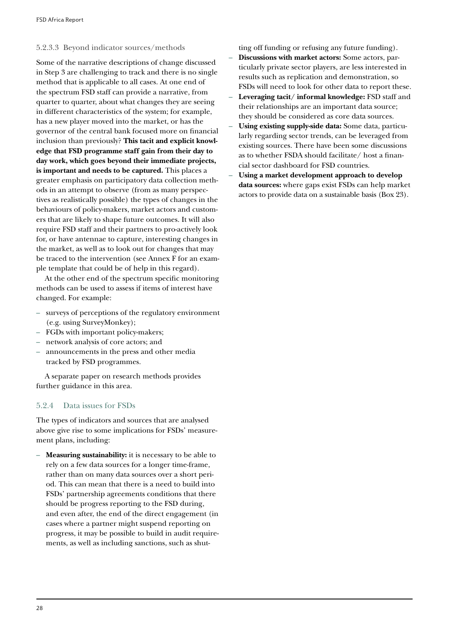#### 5.2.3.3 Beyond indicator sources/methods

Some of the narrative descriptions of change discussed in Step 3 are challenging to track and there is no single method that is applicable to all cases. At one end of the spectrum FSD staff can provide a narrative, from quarter to quarter, about what changes they are seeing in different characteristics of the system; for example, has a new player moved into the market, or has the governor of the central bank focused more on financial inclusion than previously? **This tacit and explicit knowledge that FSD programme staff gain from their day to day work, which goes beyond their immediate projects, is important and needs to be captured.** This places a greater emphasis on participatory data collection methods in an attempt to observe (from as many perspectives as realistically possible) the types of changes in the behaviours of policy-makers, market actors and customers that are likely to shape future outcomes. It will also require FSD staff and their partners to pro-actively look for, or have antennae to capture, interesting changes in the market, as well as to look out for changes that may be traced to the intervention (see Annex F for an example template that could be of help in this regard).

At the other end of the spectrum specific monitoring methods can be used to assess if items of interest have changed. For example:

- surveys of perceptions of the regulatory environment (e.g. using SurveyMonkey);
- FGDs with important policy-makers;
- network analysis of core actors; and
- announcements in the press and other media tracked by FSD programmes.

A separate paper on research methods provides further guidance in this area.

### 5.2.4 Data issues for FSDs

The types of indicators and sources that are analysed above give rise to some implications for FSDs' measurement plans, including:

– **Measuring sustainability:** it is necessary to be able to rely on a few data sources for a longer time-frame, rather than on many data sources over a short period. This can mean that there is a need to build into FSDs' partnership agreements conditions that there should be progress reporting to the FSD during, and even after, the end of the direct engagement (in cases where a partner might suspend reporting on progress, it may be possible to build in audit requirements, as well as including sanctions, such as shutting off funding or refusing any future funding).

- **Discussions with market actors:** Some actors, particularly private sector players, are less interested in results such as replication and demonstration, so FSDs will need to look for other data to report these.
- **Leveraging tacit/ informal knowledge:** FSD staff and their relationships are an important data source; they should be considered as core data sources.
- **Using existing supply-side data:** Some data, particularly regarding sector trends, can be leveraged from existing sources. There have been some discussions as to whether FSDA should facilitate/ host a financial sector dashboard for FSD countries.
- **Using a market development approach to develop data sources:** where gaps exist FSDs can help market actors to provide data on a sustainable basis (Box 23).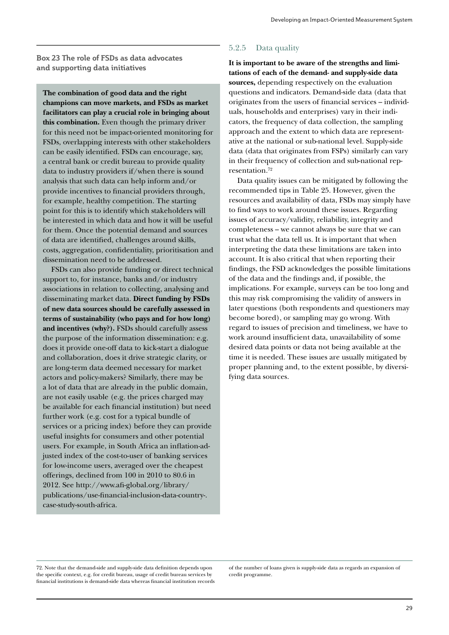**Box 23 The role of FSDs as data advocates and supporting data initiatives**

**The combination of good data and the right champions can move markets, and FSDs as market facilitators can play a crucial role in bringing about this combination.** Even though the primary driver for this need not be impact-oriented monitoring for FSDs, overlapping interests with other stakeholders can be easily identified. FSDs can encourage, say, a central bank or credit bureau to provide quality data to industry providers if/when there is sound analysis that such data can help inform and/or provide incentives to financial providers through, for example, healthy competition. The starting point for this is to identify which stakeholders will be interested in which data and how it will be useful for them. Once the potential demand and sources of data are identified, challenges around skills, costs, aggregation, confidentiality, prioritisation and dissemination need to be addressed.

FSDs can also provide funding or direct technical support to, for instance, banks and/or industry associations in relation to collecting, analysing and disseminating market data. **Direct funding by FSDs of new data sources should be carefully assessed in terms of sustainability (who pays and for how long) and incentives (why?).** FSDs should carefully assess the purpose of the information dissemination: e.g. does it provide one-off data to kick-start a dialogue and collaboration, does it drive strategic clarity, or are long-term data deemed necessary for market actors and policy-makers? Similarly, there may be a lot of data that are already in the public domain, are not easily usable (e.g. the prices charged may be available for each financial institution) but need further work (e.g. cost for a typical bundle of services or a pricing index) before they can provide useful insights for consumers and other potential users. For example, in South Africa an inflation-adjusted index of the cost-to-user of banking services for low-income users, averaged over the cheapest offerings, declined from 100 in 2010 to 80.6 in 2012. See http://www.afi-global.org/library/ publications/use-financial-inclusion-data-country-. case-study-south-africa.

#### 5.2.5 Data quality

**It is important to be aware of the strengths and limitations of each of the demand- and supply-side data sources,** depending respectively on the evaluation questions and indicators. Demand-side data (data that originates from the users of financial services – individuals, households and enterprises) vary in their indicators, the frequency of data collection, the sampling approach and the extent to which data are representative at the national or sub-national level. Supply-side data (data that originates from FSPs) similarly can vary in their frequency of collection and sub-national representation.72

Data quality issues can be mitigated by following the recommended tips in Table 25. However, given the resources and availability of data, FSDs may simply have to find ways to work around these issues. Regarding issues of accuracy/validity, reliability, integrity and completeness – we cannot always be sure that we can trust what the data tell us. It is important that when interpreting the data these limitations are taken into account. It is also critical that when reporting their findings, the FSD acknowledges the possible limitations of the data and the findings and, if possible, the implications. For example, surveys can be too long and this may risk compromising the validity of answers in later questions (both respondents and questioners may become bored), or sampling may go wrong. With regard to issues of precision and timeliness, we have to work around insufficient data, unavailability of some desired data points or data not being available at the time it is needed. These issues are usually mitigated by proper planning and, to the extent possible, by diversifying data sources.

72. Note that the demand-side and supply-side data definition depends upon the specific context, e.g. for credit bureau, usage of credit bureau services by financial institutions is demand-side data whereas financial institution records

of the number of loans given is supply-side data as regards an expansion of credit programme.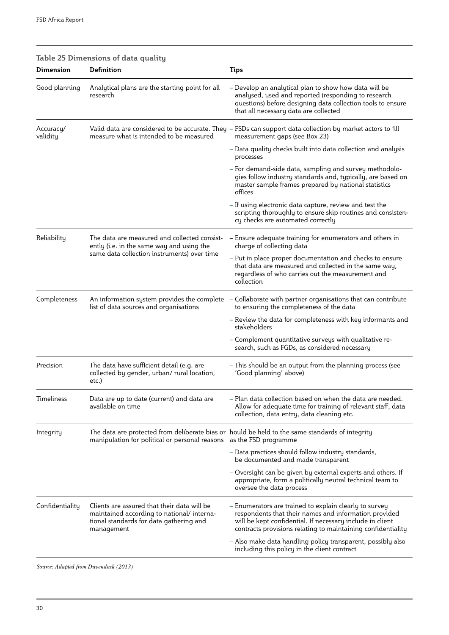| Dimension             | Table 25 Dimensions of data quality<br>Definition                                                                                                 |                                                                                                                                                                                                                                              |
|-----------------------|---------------------------------------------------------------------------------------------------------------------------------------------------|----------------------------------------------------------------------------------------------------------------------------------------------------------------------------------------------------------------------------------------------|
|                       |                                                                                                                                                   | <b>Tips</b>                                                                                                                                                                                                                                  |
| Good planning         | Analytical plans are the starting point for all<br>research                                                                                       | - Develop an analytical plan to show how data will be<br>analysed, used and reported (responding to research<br>questions) before designing data collection tools to ensure<br>that all necessary data are collected                         |
| Accuracy/<br>validity | measure what is intended to be measured                                                                                                           | Valid data are considered to be accurate. They – FSDs can support data collection by market actors to fill<br>measurement gaps (see Box 23)                                                                                                  |
|                       |                                                                                                                                                   | - Data quality checks built into data collection and analysis<br>processes                                                                                                                                                                   |
|                       |                                                                                                                                                   | - For demand-side data, sampling and survey methodolo-<br>gies follow industry standards and, typically, are based on<br>master sample frames prepared by national statistics<br>offices                                                     |
|                       |                                                                                                                                                   | - If using electronic data capture, review and test the<br>scripting thoroughly to ensure skip routines and consisten-<br>cy checks are automated correctly                                                                                  |
| Reliability           | The data are measured and collected consist-<br>ently (i.e. in the same way and using the                                                         | - Ensure adequate training for enumerators and others in<br>charge of collecting data                                                                                                                                                        |
|                       | same data collection instruments) over time                                                                                                       | - Put in place proper documentation and checks to ensure<br>that data are measured and collected in the same way,<br>regardless of who carries out the measurement and<br>collection                                                         |
| Completeness          | An information system provides the complete<br>list of data sources and organisations                                                             | - Collaborate with partner organisations that can contribute<br>to ensuring the completeness of the data                                                                                                                                     |
|                       |                                                                                                                                                   | - Review the data for completeness with key informants and<br>stakeholders                                                                                                                                                                   |
|                       |                                                                                                                                                   | - Complement quantitative surveys with qualitative re-<br>search, such as FGDs, as considered necessary                                                                                                                                      |
| Precision             | The data have sufficient detail (e.g. are<br>collected by gender, urban/rural location,<br>etc.)                                                  | - This should be an output from the planning process (see<br>'Good planning' above)                                                                                                                                                          |
| Timeliness            | Data are up to date (current) and data are<br>available on time                                                                                   | - Plan data collection based on when the data are needed.<br>Allow for adequate time for training of relevant staff, data<br>collection, data entry, data cleaning etc.                                                                      |
| Integrity             | manipulation for political or personal reasons as the FSD programme                                                                               | The data are protected from deliberate bias or hould be held to the same standards of integrity                                                                                                                                              |
|                       |                                                                                                                                                   | - Data practices should follow industry standards,<br>be documented and made transparent                                                                                                                                                     |
|                       |                                                                                                                                                   | - Oversight can be given by external experts and others. If<br>appropriate, form a politically neutral technical team to<br>oversee the data process                                                                                         |
| Confidentiality       | Clients are assured that their data will be<br>maintained according to national/interna-<br>tional standards for data gathering and<br>management | - Enumerators are trained to explain clearly to survey<br>respondents that their names and information provided<br>will be kept confidential. If necessary include in client<br>contracts provisions relating to maintaining confidentiality |
|                       |                                                                                                                                                   | – Also make data handling policy transparent, possibly also<br>including this policy in the client contract                                                                                                                                  |

## **Table 25 Dimensions of data quality**

*Source: Adapted from Duvendack (2013)*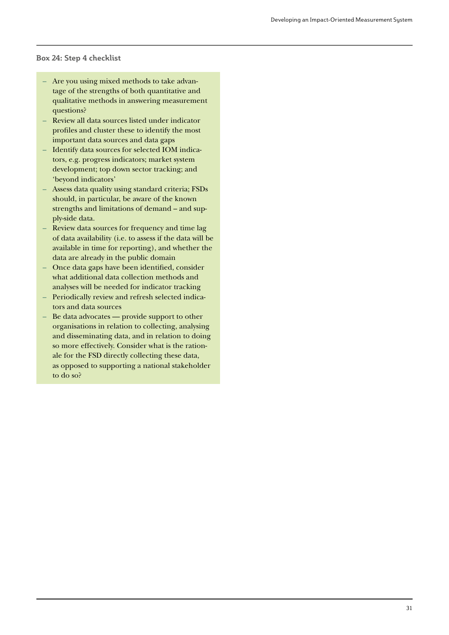#### **Box 24: Step 4 checklist**

- Are you using mixed methods to take advantage of the strengths of both quantitative and qualitative methods in answering measurement questions?
- Review all data sources listed under indicator profiles and cluster these to identify the most important data sources and data gaps
- Identify data sources for selected IOM indicators, e.g. progress indicators; market system development; top down sector tracking; and 'beyond indicators'
- Assess data quality using standard criteria; FSDs should, in particular, be aware of the known strengths and limitations of demand – and supply-side data.
- Review data sources for frequency and time lag of data availability (i.e. to assess if the data will be available in time for reporting), and whether the data are already in the public domain
- Once data gaps have been identified, consider what additional data collection methods and analyses will be needed for indicator tracking
- Periodically review and refresh selected indicators and data sources
- Be data advocates provide support to other organisations in relation to collecting, analysing and disseminating data, and in relation to doing so more effectively. Consider what is the rationale for the FSD directly collecting these data, as opposed to supporting a national stakeholder to do so?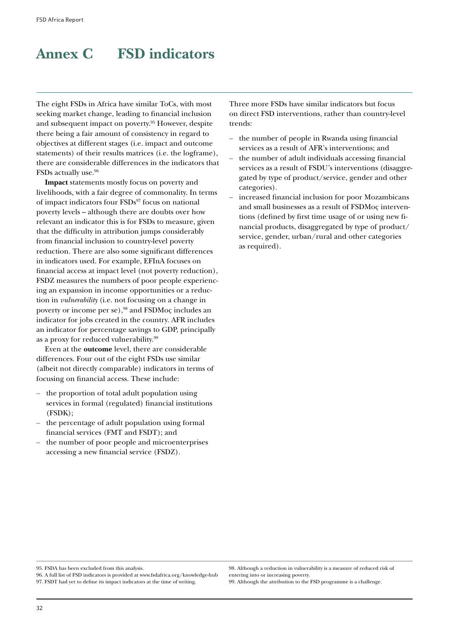## **Annex C FSD indicators**

The eight FSDs in Africa have similar ToCs, with most seeking market change, leading to financial inclusion and subsequent impact on poverty.95 However, despite there being a fair amount of consistency in regard to objectives at different stages (i.e. impact and outcome statements) of their results matrices (i.e. the logframe), there are considerable differences in the indicators that FSDs actually use.96

**Impact** statements mostly focus on poverty and livelihoods, with a fair degree of commonality. In terms of impact indicators four FSDs<sup>97</sup> focus on national poverty levels – although there are doubts over how relevant an indicator this is for FSDs to measure, given that the difficulty in attribution jumps considerably from financial inclusion to country-level poverty reduction. There are also some significant differences in indicators used. For example, EFInA focuses on financial access at impact level (not poverty reduction), FSDZ measures the numbers of poor people experiencing an expansion in income opportunities or a reduction in *vulnerability* (i.e. not focusing on a change in poverty or income per se),98 and FSDMoç includes an indicator for jobs created in the country. AFR includes an indicator for percentage savings to GDP, principally as a proxy for reduced vulnerability.99

Even at the **outcome** level, there are considerable differences. Four out of the eight FSDs use similar (albeit not directly comparable) indicators in terms of focusing on financial access. These include:

- the proportion of total adult population using services in formal (regulated) financial institutions (FSDK);
- the percentage of adult population using formal financial services (FMT and FSDT); and
- the number of poor people and microenterprises accessing a new financial service (FSDZ).

Three more FSDs have similar indicators but focus on direct FSD interventions, rather than country-level trends:

- the number of people in Rwanda using financial services as a result of AFR's interventions; and
- the number of adult individuals accessing financial services as a result of FSDU's interventions (disaggregated by type of product/service, gender and other categories).
- increased financial inclusion for poor Mozambicans and small businesses as a result of FSDMoç interventions (defined by first time usage of or using new financial products, disaggregated by type of product/ service, gender, urban/rural and other categories as required).

99. Although the attribution to the FSD programme is a challenge.

<sup>95.</sup> FSDA has been excluded from this analysis.

<sup>96.</sup> A full list of FSD indicators is provided at www.fsdafrica.org/knowledge-hub

<sup>97.</sup> FSDT had yet to define its impact indicators at the time of writing.

<sup>98.</sup> Although a reduction in vulnerability is a measure of reduced risk of entering into or increasing poverty.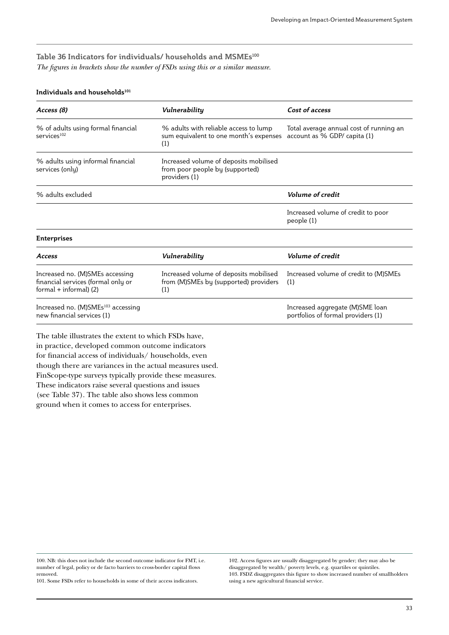## **Table 36 Indicators for individuals/ households and MSMEs100** *The figures in brackets show the number of FSDs using this or a similar measure.*

#### **Individuals and households<sup>101</sup>**

| Access (8)                                                                                        | Vulnerability                                                                              | Cost of access                                                          |
|---------------------------------------------------------------------------------------------------|--------------------------------------------------------------------------------------------|-------------------------------------------------------------------------|
| % of adults using formal financial<br>services <sup>102</sup>                                     | % adults with reliable access to lump<br>sum equivalent to one month's expenses<br>(1)     | Total average annual cost of running an<br>account as % GDP/ capita (1) |
| % adults using informal financial<br>services (only)                                              | Increased volume of deposits mobilised<br>from poor people by (supported)<br>providers (1) |                                                                         |
| % adults excluded                                                                                 |                                                                                            | Volume of credit                                                        |
|                                                                                                   |                                                                                            | Increased volume of credit to poor<br>people (1)                        |
| <b>Enterprises</b>                                                                                |                                                                                            |                                                                         |
| Access                                                                                            | Vulnerability                                                                              | Volume of credit                                                        |
| Increased no. (M)SMEs accessing<br>financial services (formal only or<br>formal $+$ informal) (2) | Increased volume of deposits mobilised<br>from (M)SMEs by (supported) providers<br>(1)     | Increased volume of credit to (M)SMEs<br>(1)                            |
| Increased no. (M)SMEs <sup>103</sup> accessing<br>new financial services (1)                      |                                                                                            | Increased aggregate (M)SME loan<br>portfolios of formal providers (1)   |

The table illustrates the extent to which FSDs have, in practice, developed common outcome indicators for financial access of individuals/ households, even though there are variances in the actual measures used. FinScope-type surveys typically provide these measures. These indicators raise several questions and issues (see Table 37). The table also shows less common ground when it comes to access for enterprises.

100. NB: this does not include the second outcome indicator for FMT, i.e. number of legal, policy or de facto barriers to cross-border capital flows removed.

101. Some FSDs refer to households in some of their access indicators.

102. Access figures are usually disaggregated by gender; they may also be disaggregated by wealth/ poverty levels, e.g. quartiles or quintiles. 103. FSDZ disaggregates this figure to show increased number of smallholders using a new agricultural financial service.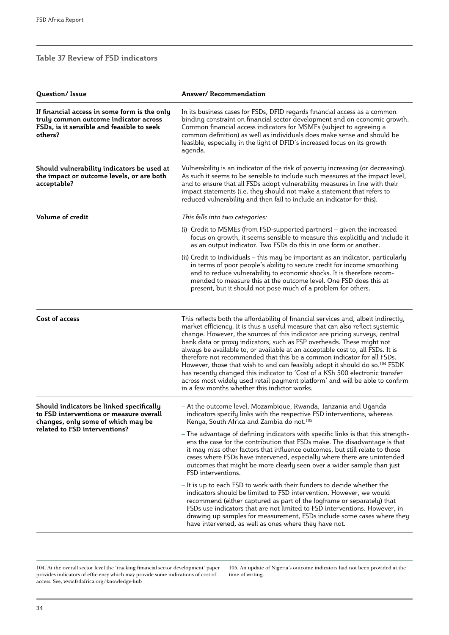#### **Table 37 Review of FSD indicators**

| Question/Issue                                                                                                                                             | Answer/Recommendation                                                                                                                                                                                                                                                                                                                                                                                                                                                                                                                                                                                                                                                                                                                                                                                |  |
|------------------------------------------------------------------------------------------------------------------------------------------------------------|------------------------------------------------------------------------------------------------------------------------------------------------------------------------------------------------------------------------------------------------------------------------------------------------------------------------------------------------------------------------------------------------------------------------------------------------------------------------------------------------------------------------------------------------------------------------------------------------------------------------------------------------------------------------------------------------------------------------------------------------------------------------------------------------------|--|
| If financial access in some form is the only<br>truly common outcome indicator across<br>FSDs, is it sensible and feasible to seek<br>others?              | In its business cases for FSDs, DFID regards financial access as a common<br>binding constraint on financial sector development and on economic growth.<br>Common financial access indicators for MSMEs (subject to agreeing a<br>common definition) as well as individuals does make sense and should be<br>feasible, especially in the light of DFID's increased focus on its growth<br>agenda.                                                                                                                                                                                                                                                                                                                                                                                                    |  |
| Should vulnerability indicators be used at<br>the impact or outcome levels, or are both<br>acceptable?                                                     | Vulnerability is an indicator of the risk of poverty increasing (or decreasing).<br>As such it seems to be sensible to include such measures at the impact level,<br>and to ensure that all FSDs adopt vulnerability measures in line with their<br>impact statements (i.e. they should not make a statement that refers to<br>reduced vulnerability and then fail to include an indicator for this).                                                                                                                                                                                                                                                                                                                                                                                                |  |
| <b>Volume of credit</b>                                                                                                                                    | This falls into two categories:                                                                                                                                                                                                                                                                                                                                                                                                                                                                                                                                                                                                                                                                                                                                                                      |  |
|                                                                                                                                                            | (i) Credit to MSMEs (from FSD-supported partners) – given the increased<br>focus on growth, it seems sensible to measure this explicitly and include it<br>as an output indicator. Two FSDs do this in one form or another.                                                                                                                                                                                                                                                                                                                                                                                                                                                                                                                                                                          |  |
|                                                                                                                                                            | (ii) Credit to individuals - this may be important as an indicator, particularly<br>in terms of poor people's ability to secure credit for income smoothing<br>and to reduce vulnerability to economic shocks. It is therefore recom-<br>mended to measure this at the outcome level. One FSD does this at<br>present, but it should not pose much of a problem for others.                                                                                                                                                                                                                                                                                                                                                                                                                          |  |
| Cost of access                                                                                                                                             | This reflects both the affordability of financial services and, albeit indirectly,<br>market efflciency. It is thus a useful measure that can also reflect systemic<br>change. However, the sources of this indicator are pricing surveys, central<br>bank data or proxy indicators, such as FSP overheads. These might not<br>always be available to, or available at an acceptable cost to, all FSDs. It is<br>therefore not recommended that this be a common indicator for all FSDs.<br>However, those that wish to and can feasibly adopt it should do so. <sup>104</sup> FSDK<br>has recently changed this indicator to 'Cost of a KSh 500 electronic transfer<br>across most widely used retail payment platform' and will be able to confirm<br>in a few months whether this indictor works. |  |
| Should indicators be linked specifically<br>to FSD interventions or measure overall<br>changes, only some of which may be<br>related to FSD interventions? | – At the outcome level, Mozambique, Rwanda, Tanzania and Uganda<br>indicators specify links with the respective FSD interventions, whereas<br>Kenya, South Africa and Zambia do not. <sup>105</sup><br>- The advantage of defining indicators with specific links is that this strength-<br>ens the case for the contribution that FSDs make. The disadvantage is that<br>it may miss other factors that influence outcomes, but still relate to those<br>cases where FSDs have intervened, especially where there are unintended<br>outcomes that might be more clearly seen over a wider sample than just<br>FSD interventions.                                                                                                                                                                    |  |
|                                                                                                                                                            | - It is up to each FSD to work with their funders to decide whether the<br>indicators should be limited to FSD intervention. However, we would<br>recommend (either captured as part of the logframe or separately) that<br>FSDs use indicators that are not limited to FSD interventions. However, in<br>drawing up samples for measurement, FSDs include some cases where they<br>have intervened, as well as ones where they have not.                                                                                                                                                                                                                                                                                                                                                            |  |

104. At the overall sector level the 'tracking financial sector development' paper provides indicators of efficiency which may provide some indications of cost of access. See, www.fsdafrica.org/knowledge-hub

105. An update of Nigeria's outcome indicators had not been provided at the time of writing.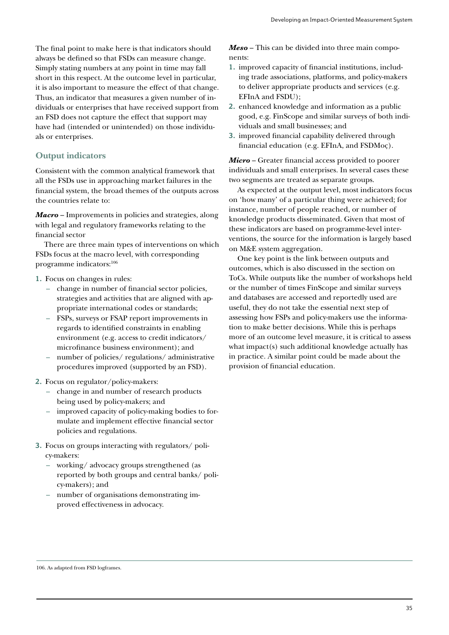The final point to make here is that indicators should always be defined so that FSDs can measure change. Simply stating numbers at any point in time may fall short in this respect. At the outcome level in particular, it is also important to measure the effect of that change. Thus, an indicator that measures a given number of individuals or enterprises that have received support from an FSD does not capture the effect that support may have had (intended or unintended) on those individuals or enterprises.

## **Output indicators**

Consistent with the common analytical framework that all the FSDs use in approaching market failures in the financial system, the broad themes of the outputs across the countries relate to:

*Macro* – Improvements in policies and strategies, along with legal and regulatory frameworks relating to the financial sector

There are three main types of interventions on which FSDs focus at the macro level, with corresponding programme indicators:106

#### **1.** Focus on changes in rules:

- change in number of financial sector policies, strategies and activities that are aligned with appropriate international codes or standards;
- FSPs, surveys or FSAP report improvements in regards to identified constraints in enabling environment (e.g. access to credit indicators/ microfinance business environment); and
- number of policies/ regulations/ administrative procedures improved (supported by an FSD).
- **2.** Focus on regulator/policy-makers:
	- change in and number of research products being used by policy-makers; and
	- improved capacity of policy-making bodies to formulate and implement effective financial sector policies and regulations.
- **3.** Focus on groups interacting with regulators/ policy-makers:
	- working/ advocacy groups strengthened (as reported by both groups and central banks/ policy-makers); and
	- number of organisations demonstrating improved effectiveness in advocacy.

*Meso* – This can be divided into three main components:

- **1.** improved capacity of financial institutions, including trade associations, platforms, and policy-makers to deliver appropriate products and services (e.g. EFInA and FSDU);
- **2.** enhanced knowledge and information as a public good, e.g. FinScope and similar surveys of both individuals and small businesses; and
- **3.** improved financial capability delivered through financial education (e.g. EFInA, and FSDMoç).

*Micro* – Greater financial access provided to poorer individuals and small enterprises. In several cases these two segments are treated as separate groups.

As expected at the output level, most indicators focus on 'how many' of a particular thing were achieved; for instance, number of people reached, or number of knowledge products disseminated. Given that most of these indicators are based on programme-level interventions, the source for the information is largely based on M&E system aggregation.

One key point is the link between outputs and outcomes, which is also discussed in the section on ToCs. While outputs like the number of workshops held or the number of times FinScope and similar surveys and databases are accessed and reportedly used are useful, they do not take the essential next step of assessing how FSPs and policy-makers use the information to make better decisions. While this is perhaps more of an outcome level measure, it is critical to assess what impact(s) such additional knowledge actually has in practice. A similar point could be made about the provision of financial education.

<sup>106.</sup> As adapted from FSD logframes.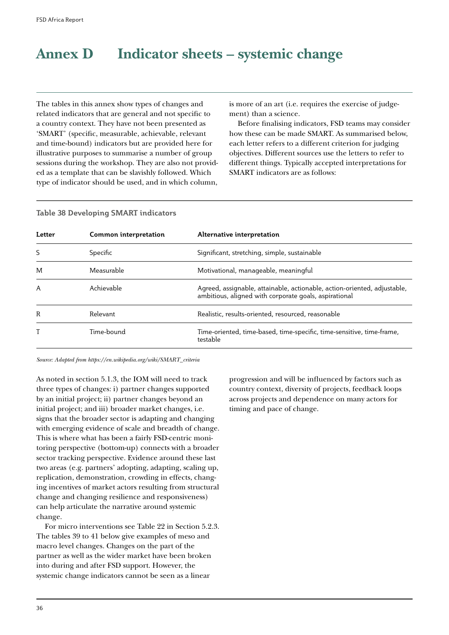# **Annex D Indicator sheets – systemic change**

The tables in this annex show types of changes and related indicators that are general and not specific to a country context. They have not been presented as 'SMART' (specific, measurable, achievable, relevant and time-bound) indicators but are provided here for illustrative purposes to summarise a number of group sessions during the workshop. They are also not provided as a template that can be slavishly followed. Which type of indicator should be used, and in which column,

is more of an art (i.e. requires the exercise of judgement) than a science.

Before finalising indicators, FSD teams may consider how these can be made SMART. As summarised below, each letter refers to a different criterion for judging objectives. Different sources use the letters to refer to different things. Typically accepted interpretations for SMART indicators are as follows:

#### **Table 38 Developing SMART indicators**

| Letter | Common interpretation | Alternative interpretation                                                                                                        |  |
|--------|-----------------------|-----------------------------------------------------------------------------------------------------------------------------------|--|
| S      | Specific              | Significant, stretching, simple, sustainable                                                                                      |  |
| M      | Measurable            | Motivational, manageable, meaningful                                                                                              |  |
| A      | Achievable            | Agreed, assignable, attainable, actionable, action-oriented, adjustable,<br>ambitious, aligned with corporate goals, aspirational |  |
| R      | Relevant              | Realistic, results-oriented, resourced, reasonable                                                                                |  |
|        | Time-bound            | Time-oriented, time-based, time-specific, time-sensitive, time-frame,<br>testable                                                 |  |

*Source: Adapted from https://en.wikipedia.org/wiki/SMART\_criteria*

As noted in section 5.1.3, the IOM will need to track three types of changes: i) partner changes supported by an initial project; ii) partner changes beyond an initial project; and iii) broader market changes, i.e. signs that the broader sector is adapting and changing with emerging evidence of scale and breadth of change. This is where what has been a fairly FSD-centric monitoring perspective (bottom-up) connects with a broader sector tracking perspective. Evidence around these last two areas (e.g. partners' adopting, adapting, scaling up, replication, demonstration, crowding in effects, changing incentives of market actors resulting from structural change and changing resilience and responsiveness) can help articulate the narrative around systemic change.

For micro interventions see Table 22 in Section 5.2.3. The tables 39 to 41 below give examples of meso and macro level changes. Changes on the part of the partner as well as the wider market have been broken into during and after FSD support. However, the systemic change indicators cannot be seen as a linear

progression and will be influenced by factors such as country context, diversity of projects, feedback loops across projects and dependence on many actors for timing and pace of change.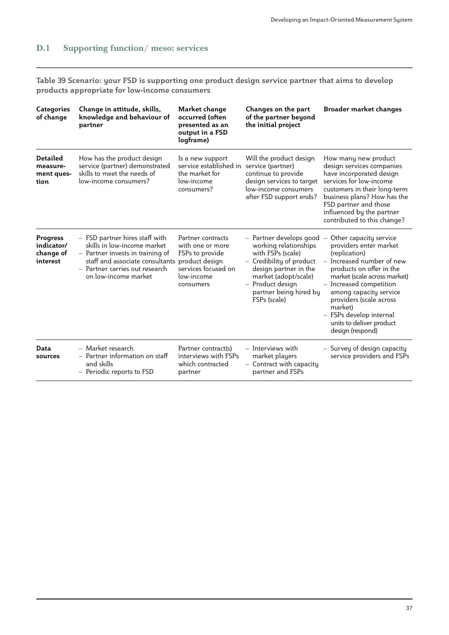## **D.1 Supporting function/ meso: services**

**Table 39 Scenario: your FSD is supporting one product design service partner that aims to develop products appropriate for low-income consumers**

| Categories<br>of change                                | Change in attitude, skills,<br>knowledge and behaviour of<br>partner                                                                                                                                          | Market change<br>occurred (often<br>presented as an<br>output in a FSD<br>logframe)                        | Changes on the part<br>of the partner beyond<br>the initial project                                                                                                                                              | Broader market changes                                                                                                                                                                                                                                                                                                       |
|--------------------------------------------------------|---------------------------------------------------------------------------------------------------------------------------------------------------------------------------------------------------------------|------------------------------------------------------------------------------------------------------------|------------------------------------------------------------------------------------------------------------------------------------------------------------------------------------------------------------------|------------------------------------------------------------------------------------------------------------------------------------------------------------------------------------------------------------------------------------------------------------------------------------------------------------------------------|
| <b>Detailed</b><br>measure-<br>ment ques-<br>tion      | How has the product design<br>service (partner) demonstrated<br>skills to meet the needs of<br>low-income consumers?                                                                                          | Is a new support<br>service established in<br>the market for<br>low-income<br>consumers?                   | Will the product design<br>service (partner)<br>continue to provide<br>design services to target<br>low-income consumers<br>after FSD support ends?                                                              | How many new product<br>design services companies<br>have incorporated design<br>services for low-income<br>customers in their long-term<br>business plans? How has the<br>FSD partner and those<br>influenced by the partner<br>contributed to this change?                                                                 |
| <b>Progress</b><br>indicator/<br>change of<br>interest | - FSD partner hires staff with<br>skills in low-income market<br>- Partner invests in training of<br>staff and associate consultants product design<br>- Partner carries out research<br>on low-income market | Partner contracts<br>with one or more<br>FSPs to provide<br>services focused on<br>low-income<br>consumers | - Partner develops good<br>working relationships<br>with FSPs (scale)<br>- Credibility of product<br>design partner in the<br>market (adopt/scale)<br>- Product design<br>partner being hired by<br>FSPs (scale) | Other capacity service<br>providers enter market<br>(replication)<br>Increased number of new<br>products on offer in the<br>market (scale across market)<br>Increased competition<br>among capacity service<br>providers (scale across<br>market)<br>- FSPs develop internal<br>units to deliver product<br>design (respond) |
| Data<br>sources                                        | - Market research<br>- Partner information on staff<br>and skills<br>- Periodic reports to FSD                                                                                                                | Partner contract(s)<br>interviews with FSPs<br>which contracted<br>partner                                 | - Interviews with<br>market players<br>- Contract with capacity<br>partner and FSPs                                                                                                                              | – Survey of design capacity<br>service providers and FSPs                                                                                                                                                                                                                                                                    |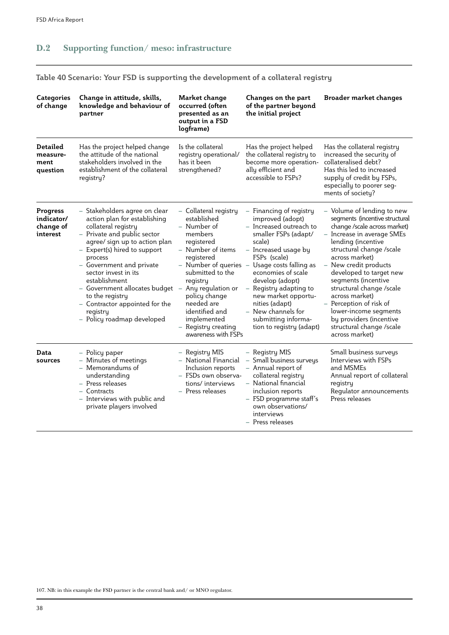## **D.2 Supporting function/ meso: infrastructure**

| Table 40 Scenario: Your FSD is supporting the development of a collateral registry |  |
|------------------------------------------------------------------------------------|--|
|------------------------------------------------------------------------------------|--|

| Categories<br>of change                         | Change in attitude, skills,<br>knowledge and behaviour of<br>partner                                                                                                                                                                                                                                                                                                                                   | Market change<br>occurred (often<br>presented as an<br>output in a FSD<br>logframe)                                                                                                                                                                                                                         | Changes on the part<br>of the partner beyond<br>the initial project                                                                                                                                                                                                                                                                                           | Broader market changes                                                                                                                                                                                                                                                                                                                                                                                                                         |
|-------------------------------------------------|--------------------------------------------------------------------------------------------------------------------------------------------------------------------------------------------------------------------------------------------------------------------------------------------------------------------------------------------------------------------------------------------------------|-------------------------------------------------------------------------------------------------------------------------------------------------------------------------------------------------------------------------------------------------------------------------------------------------------------|---------------------------------------------------------------------------------------------------------------------------------------------------------------------------------------------------------------------------------------------------------------------------------------------------------------------------------------------------------------|------------------------------------------------------------------------------------------------------------------------------------------------------------------------------------------------------------------------------------------------------------------------------------------------------------------------------------------------------------------------------------------------------------------------------------------------|
| Detailed<br>measure-<br>ment<br>question        | Has the project helped change<br>the attitude of the national<br>stakeholders involved in the<br>establishment of the collateral<br>registry?                                                                                                                                                                                                                                                          | Is the collateral<br>registry operational/<br>has it been<br>strengthened?                                                                                                                                                                                                                                  | Has the project helped<br>the collateral registry to<br>become more operation-<br>ally efficient and<br>accessible to FSPs?                                                                                                                                                                                                                                   | Has the collateral registry<br>increased the security of<br>collateralised debt?<br>Has this led to increased<br>supply of credit by FSPs,<br>especially to poorer seg-<br>ments of society?                                                                                                                                                                                                                                                   |
| Progress<br>indicator/<br>change of<br>interest | - Stakeholders agree on clear<br>action plan for establishing<br>collateral registry<br>- Private and public sector<br>agree/ sign up to action plan<br>- Expert(s) hired to support<br>process<br>- Government and private<br>sector invest in its<br>establishment<br>- Government allocates budget -<br>to the registry<br>- Contractor appointed for the<br>registry<br>- Policy roadmap developed | - Collateral registry<br>established<br>- Number of<br>members<br>registered<br>- Number of items<br>registered<br>- Number of queries -<br>submitted to the<br>registry<br>Any regulation or<br>policy change<br>needed are<br>identified and<br>implemented<br>- Registry creating<br>awareness with FSPs | - Financing of registry<br>improved (adopt)<br>- Increased outreach to<br>smaller FSPs (adapt/<br>scale)<br>- Increased usage by<br>FSPs (scale)<br>Usage costs falling as<br>economies of scale<br>develop (adopt)<br>Registry adapting to<br>new market opportu-<br>nities (adapt)<br>- New channels for<br>submitting informa-<br>tion to registry (adapt) | - Volume of lending to new<br>segments (incentive structural<br>change /scale across market)<br>Increase in average SMEs<br>lending (incentive<br>structural change /scale<br>across market)<br>New credit products<br>developed to target new<br>segments (incentive<br>structural change /scale<br>across market)<br>Perception of risk of<br>lower-income segments<br>by providers (incentive<br>structural change /scale<br>across market) |
| Data<br>sources                                 | - Policy paper<br>- Minutes of meetings<br>- Memorandums of<br>understanding<br>- Press releases<br>– Contracts<br>- Interviews with public and<br>private players involved                                                                                                                                                                                                                            | - Registry MIS<br>- National Financial<br>Inclusion reports<br>– FSDs own observa-<br>tions/interviews<br>- Press releases                                                                                                                                                                                  | - Registry MIS<br>Small business surveys<br>- Annual report of<br>collateral registry<br>- National financial<br>inclusion reports<br>- FSD programme staff's<br>own observations/<br>interviews<br>– Press releases                                                                                                                                          | Small business surveys<br>Interviews with FSPs<br>and MSMEs<br>Annual report of collateral<br>registry<br>Regulator announcements<br>Press releases                                                                                                                                                                                                                                                                                            |

107. NB: in this example the FSD partner is the central bank and/ or MNO regulator.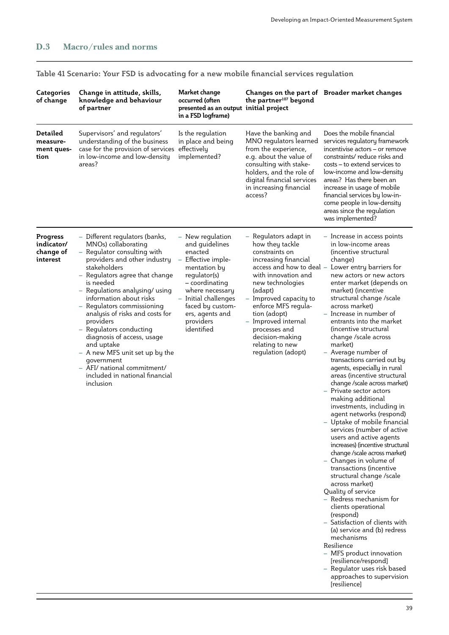| Categories<br>of change                         | Change in attitude, skills,<br>knowledge and behaviour<br>of partner                                                                                                                                                                                                                                                                                                                                                                                                                                                                | Market change<br>occurred (often<br>presented as an output initial project<br>in a FSD logframe)                                                                                                                                   | the partner <sup>107</sup> beyond                                                                                                                                                                                                                                                                                                          | Changes on the part of Broader market changes                                                                                                                                                                                                                                                                                                                                                                                                                                                                                                                                                                                                                                                                                                                                                                                                                                                                                                                                                                                                                                                                                                                                                                 |
|-------------------------------------------------|-------------------------------------------------------------------------------------------------------------------------------------------------------------------------------------------------------------------------------------------------------------------------------------------------------------------------------------------------------------------------------------------------------------------------------------------------------------------------------------------------------------------------------------|------------------------------------------------------------------------------------------------------------------------------------------------------------------------------------------------------------------------------------|--------------------------------------------------------------------------------------------------------------------------------------------------------------------------------------------------------------------------------------------------------------------------------------------------------------------------------------------|---------------------------------------------------------------------------------------------------------------------------------------------------------------------------------------------------------------------------------------------------------------------------------------------------------------------------------------------------------------------------------------------------------------------------------------------------------------------------------------------------------------------------------------------------------------------------------------------------------------------------------------------------------------------------------------------------------------------------------------------------------------------------------------------------------------------------------------------------------------------------------------------------------------------------------------------------------------------------------------------------------------------------------------------------------------------------------------------------------------------------------------------------------------------------------------------------------------|
| Detailed<br>measure-<br>ment ques-<br>tion      | Supervisors' and regulators'<br>understanding of the business<br>case for the provision of services<br>in low-income and low-density<br>areas?                                                                                                                                                                                                                                                                                                                                                                                      | Is the regulation<br>in place and being<br>effectively<br>implemented?                                                                                                                                                             | Have the banking and<br>MNO regulators learned<br>from the experience,<br>e.g. about the value of<br>consulting with stake-<br>holders, and the role of<br>digital financial services<br>in increasing financial<br>access?                                                                                                                | Does the mobile financial<br>services regulatory framework<br>incentivise actors – or remove<br>constraints/reduce risks and<br>costs - to extend services to<br>low-income and low-density<br>areas? Has there been an<br>increase in usage of mobile<br>financial services by low-in-<br>come people in low-density<br>areas since the regulation<br>was implemented?                                                                                                                                                                                                                                                                                                                                                                                                                                                                                                                                                                                                                                                                                                                                                                                                                                       |
| Progress<br>indicator/<br>change of<br>interest | - Different regulators (banks,<br>MNOs) collaborating<br>- Regulator consulting with<br>providers and other industry<br>stakeholders<br>- Regulators agree that change<br>is needed<br>- Regulations analysing/ using<br>information about risks<br>- Regulators commissioning<br>analysis of risks and costs for<br>providers<br>- Regulators conducting<br>diagnosis of access, usage<br>and uptake<br>- A new MFS unit set up by the<br>government<br>- AFI/ national commitment/<br>included in national financial<br>inclusion | - New regulation<br>and guidelines<br>enacted<br>Effective imple-<br>mentation by<br>regulator(s)<br>$-$ coordinating<br>where necessary<br>– Initial challenges<br>faced by custom-<br>ers, agents and<br>providers<br>identified | –  Regulators adapt in<br>how they tackle<br>constraints on<br>increasing financial<br>access and how to deal -<br>with innovation and<br>new technologies<br>(adapt)<br>- Improved capacity to<br>enforce MFS regula-<br>tion (adopt)<br>- Improved internal<br>processes and<br>decision-making<br>relating to new<br>regulation (adopt) | - Increase in access points<br>in low-income areas<br>incentive structural<br>change)<br>Lower entry barriers for<br>new actors or new actors<br>enter market (depends on<br>market) (incentive<br>structural change /scale<br>across market)<br>Increase in number of<br>entrants into the market<br>(incentive structural<br>change /scale across<br>market)<br>- Average number of<br>transactions carried out by<br>agents, especially in rural<br>areas (incentive structural<br>change /scale across market)<br>– Private sector actors<br>making additional<br>investments, including in<br>agent networks (respond)<br>- Uptake of mobile financial<br>services (number of active<br>users and active agents<br>increases) (incentive structural<br>change /scale across market)<br>- Changes in volume of<br>transactions (incentive<br>structural change /scale<br>across market)<br>Quality of service<br>- Redress mechanism for<br>clients operational<br>(respond)<br>- Satisfaction of clients with<br>(a) service and (b) redress<br>mechanisms<br>Resilience<br>- MFS product innovation<br>[resilience/respond]<br>- Regulator uses risk based<br>approaches to supervision<br>[resilience] |

## **Table 41 Scenario: Your FSD is advocating for a new mobile financial services regulation**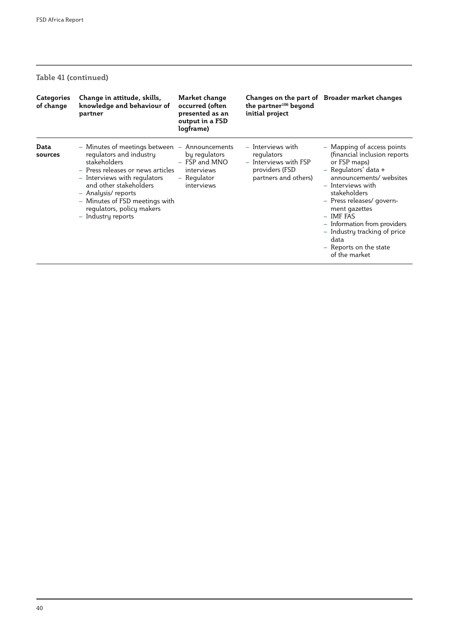## **Table 41 (continued)**

| Categories<br>of change | Change in attitude, skills,<br>knowledge and behaviour of<br>partner                                                                                                                                                                                                                                   | Market change<br>occurred (often<br>presented as an<br>output in a FSD<br>logframe) | the partner <sup>106</sup> beyond<br>initial project                                               | Changes on the part of Broader market changes                                                                                                                                                                                                                                                                                                     |
|-------------------------|--------------------------------------------------------------------------------------------------------------------------------------------------------------------------------------------------------------------------------------------------------------------------------------------------------|-------------------------------------------------------------------------------------|----------------------------------------------------------------------------------------------------|---------------------------------------------------------------------------------------------------------------------------------------------------------------------------------------------------------------------------------------------------------------------------------------------------------------------------------------------------|
| Data<br>sources         | $-$ Minutes of meetings between $-$ Announcements<br>regulators and industry<br>stakeholders<br>- Press releases or news articles<br>- Interviews with regulators<br>and other stakeholders<br>- Analysis/reports<br>- Minutes of FSD meetings with<br>regulators, policy makers<br>- Industry reports | by regulators<br>- FSP and MNO<br>interviews<br>- Regulator<br>interviews           | – Interviews with<br>regulators<br>- Interviews with FSP<br>providers (FSD<br>partners and others) | - Mapping of access points<br>(financial inclusion reports)<br>or FSP maps)<br>- Regulators' data +<br>announcements/ websites<br>- Interviews with<br>stakeholders<br>- Press releases/ govern-<br>ment gazettes<br>- IMF FAS<br>- Information from providers<br>- Industry tracking of price<br>data<br>- Reports on the state<br>of the market |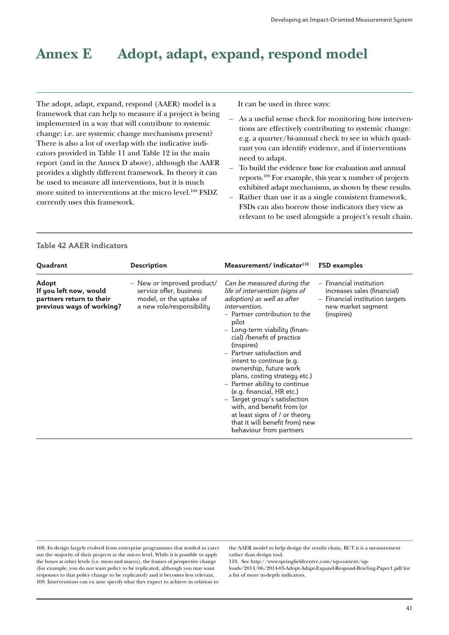# **Annex E Adopt, adapt, expand, respond model**

The adopt, adapt, expand, respond (AAER) model is a framework that can help to measure if a project is being implemented in a way that will contribute to systemic change: i.e. are systemic change mechanisms present? There is also a lot of overlap with the indicative indicators provided in Table 11 and Table 12 in the main report (and in the Annex D above), although the AAER provides a slightly different framework. In theory it can be used to measure all interventions, but it is much more suited to interventions at the micro level.<sup>108</sup> FSDZ currently uses this framework.

It can be used in three ways:

- As a useful sense check for monitoring how interventions are effectively contributing to systemic change: e.g. a quarter/bi-annual check to see in which quadrant you can identify evidence, and if interventions need to adapt.
- To build the evidence base for evaluation and annual reports.109 For example, this year x number of projects exhibited adapt mechanisms, as shown by these results.
- Rather than use it as a single consistent framework, FSDs can also borrow those indicators they view as relevant to be used alongside a project's result chain.

| Quadrant                                                                                 | Description                                                                                                   | Measurement/indicator <sup>110</sup>                                                                                                                                                                                                                                                                                                                                                                                                                                                                                                                                                      | FSD examples                                                                                                                  |
|------------------------------------------------------------------------------------------|---------------------------------------------------------------------------------------------------------------|-------------------------------------------------------------------------------------------------------------------------------------------------------------------------------------------------------------------------------------------------------------------------------------------------------------------------------------------------------------------------------------------------------------------------------------------------------------------------------------------------------------------------------------------------------------------------------------------|-------------------------------------------------------------------------------------------------------------------------------|
| Adopt<br>If you left now, would<br>partners return to their<br>previous ways of working? | - New or improved product/<br>service offer, business<br>model, or the uptake of<br>a new role/responsibility | Can be measured during the<br>life of intervention (signs of<br>adoption) as well as after<br><i>intervention.</i><br>- Partner contribution to the<br>pilot<br>- Long-term viability (finan-<br>cial) /benefit of practice<br>(inspires)<br>- Partner satisfaction and<br>intent to continue (e.g.<br>ownership, future work<br>plans, costing strategy etc.)<br>- Partner ability to continue<br>(e.g. financial, HR etc.)<br>- Target group's satisfaction<br>with, and benefit from (or<br>at least signs of / or theory<br>that it will benefit from) new<br>behaviour from partners | - Financial institution<br>increases sales (financial)<br>- Financial institution targets<br>new market segment<br>(inspires) |

#### **Table 42 AAER indicators**

108. Its design largely evolved from enterprise programmes that tended to carry out the majority of their projects at the micro level. While it is possible to apply the boxes at other levels (i.e. meso and macro), the frames of perspective change (for example, you do not want policy to be replicated, although you may want responses to that policy change to be replicated) and it becomes less relevant. 109. Interventions can ex ante specify what they expect to achieve in relation to

the AAER model to help design the results chain, BUT it is a measurement rather than design tool.

110. See http://www.springfieldcentre.com/wp-content/up-

loads/2014/06/2014-03-Adopt-Adapt-Expand-Respond-Briefing-Paper1.pdf for a list of more in-depth indicators.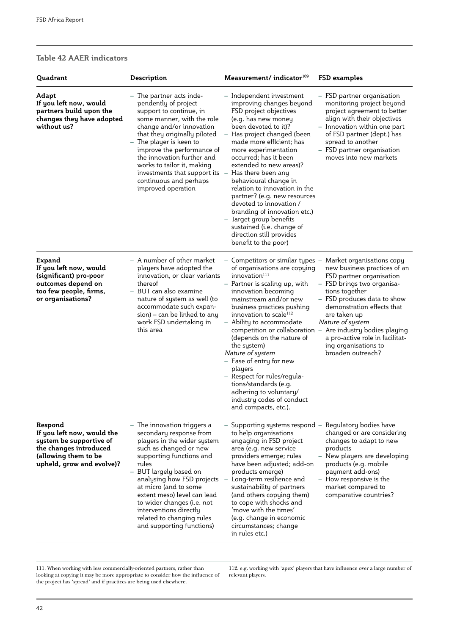#### **Table 42 AAER indicators**

| Quadrant                                                                                                                                        | Description                                                                                                                                                                                                                                                                                                                                                                                     | Measurement/indicator <sup>109</sup>                                                                                                                                                                                                                                                                                                                                                                                                                                                                                                                                                  | FSD examples                                                                                                                                                                                                                                                                                                             |
|-------------------------------------------------------------------------------------------------------------------------------------------------|-------------------------------------------------------------------------------------------------------------------------------------------------------------------------------------------------------------------------------------------------------------------------------------------------------------------------------------------------------------------------------------------------|---------------------------------------------------------------------------------------------------------------------------------------------------------------------------------------------------------------------------------------------------------------------------------------------------------------------------------------------------------------------------------------------------------------------------------------------------------------------------------------------------------------------------------------------------------------------------------------|--------------------------------------------------------------------------------------------------------------------------------------------------------------------------------------------------------------------------------------------------------------------------------------------------------------------------|
| Adapt<br>If you left now, would<br>partners build upon the<br>changes they have adopted<br>without us?                                          | The partner acts inde-<br>pendently of project<br>support to continue, in<br>some manner, with the role<br>change and/or innovation<br>that they originally piloted<br>– The player is keen to<br>improve the performance of<br>the innovation further and<br>works to tailor it, making<br>investments that support its $-$ Has there been any<br>continuous and perhaps<br>improved operation | Independent investment<br>improving changes beyond<br>FSD project objectives<br>(e.g. has new money<br>been devoted to it)?<br>Has project changed (been<br>made more efficient; has<br>more experimentation<br>occurred; has it been<br>extended to new areas)?<br>behavioural change in<br>relation to innovation in the<br>partner? (e.g. new resources<br>devoted to innovation /<br>branding of innovation etc.)<br>Target group benefits<br>sustained (i.e. change of<br>direction still provides<br>benefit to the poor)                                                       | - FSD partner organisation<br>monitoring project beyond<br>project agreement to better<br>align with their objectives<br>- Innovation within one part<br>of FSD partner (dept.) has<br>spread to another<br>- FSD partner organisation<br>moves into new markets                                                         |
| Expand<br>If you left now, would<br>(significant) pro-poor<br>outcomes depend on<br>too few people, firms,<br>or organisations?                 | - A number of other market<br>players have adopted the<br>innovation, or clear variants<br>thereof<br>- BUT can also examine<br>nature of system as well (to<br>accommodate such expan-<br>sion) - can be linked to any<br>work FSD undertaking in<br>this area                                                                                                                                 | – Competitors or similar types – Market organisations copy<br>of organisations are copying<br>innovation <sup>111</sup><br>- Partner is scaling up, with<br>innovation becoming<br>mainstream and/or new<br>business practices pushing<br>innovation to scale <sup>112</sup><br>Ability to accommodate<br>competition or collaboration -<br>(depends on the nature of<br>the system)<br>Nature of system<br>- Ease of entry for new<br>players<br>- Respect for rules/regula-<br>tions/standards (e.g.<br>adhering to voluntary/<br>industry codes of conduct<br>and compacts, etc.). | new business practices of an<br>FSD partner organisation<br>- FSD brings two organisa-<br>tions together<br>- FSD produces data to show<br>demonstration effects that<br>are taken up<br>Nature of system<br>Are industry bodies playing<br>a pro-active role in facilitat-<br>ing organisations to<br>broaden outreach? |
| Respond<br>If you left now, would the<br>system be supportive of<br>the changes introduced<br>(allowing them to be<br>upheld, grow and evolve)? | - The innovation triggers a<br>secondary response from<br>players in the wider system<br>such as changed or new<br>supporting functions and<br>rules<br>- BUT largely based on<br>analysing how FSD projects<br>at micro (and to some<br>extent meso) level can lead<br>to wider changes (i.e. not<br>interventions directly<br>related to changing rules<br>and supporting functions)          | Supporting systems respond – Regulatory bodies have<br>to help organisations<br>engaging in FSD project<br>area (e.g. new service<br>providers emerge; rules<br>have been adjusted; add-on<br>products emerge)<br>Long-term resilience and<br>sustainability of partners<br>(and others copying them)<br>to cope with shocks and<br>'move with the times'<br>(e.g. change in economic<br>circumstances; change<br>in rules etc.)                                                                                                                                                      | changed or are considering<br>changes to adapt to new<br>products<br>- New players are developing<br>products (e.g. mobile<br>payment add-ons)<br>- How responsive is the<br>market compared to<br>comparative countries?                                                                                                |

111. When working with less commercially-oriented partners, rather than looking at copying it may be more appropriate to consider how the influence of the project has 'spread' and if practices are being used elsewhere.

112. e.g. working with 'apex' players that have influence over a large number of relevant players.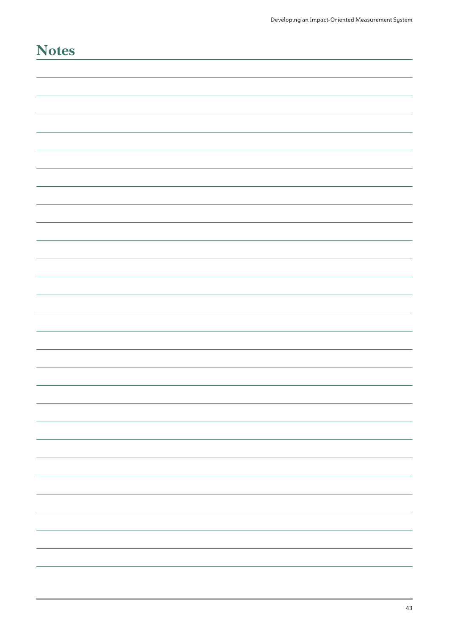| <b>Notes</b> |
|--------------|
|              |
|              |
|              |
|              |
|              |
|              |
|              |
|              |
|              |
|              |
|              |
|              |
|              |
|              |
|              |
|              |
|              |
|              |
|              |
|              |
|              |
|              |
|              |
|              |
|              |
|              |
|              |
|              |
|              |